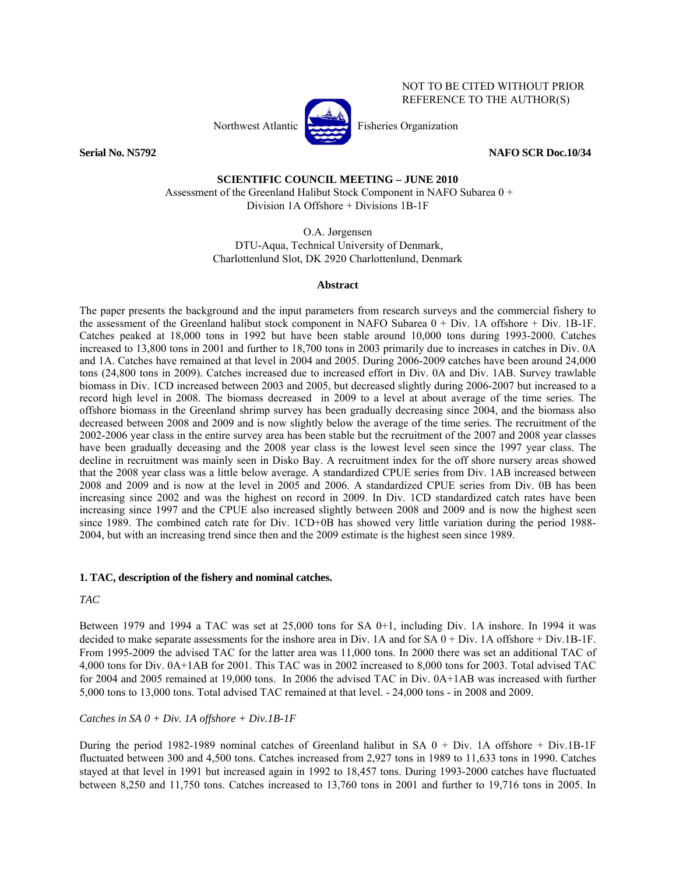

REFERENCE TO THE AUTHOR(S)

NOT TO BE CITED WITHOUT PRIOR

**Serial No. N5792 NAFO SCR Doc.10/34** 

### **SCIENTIFIC COUNCIL MEETING – JUNE 2010**

 Assessment of the Greenland Halibut Stock Component in NAFO Subarea 0 + Division 1A Offshore + Divisions 1B-1F

> O.A. Jørgensen DTU-Aqua, Technical University of Denmark, Charlottenlund Slot, DK 2920 Charlottenlund, Denmark

#### **Abstract**

The paper presents the background and the input parameters from research surveys and the commercial fishery to the assessment of the Greenland halibut stock component in NAFO Subarea 0 + Div. 1A offshore + Div. 1B-1F. Catches peaked at 18,000 tons in 1992 but have been stable around 10,000 tons during 1993-2000. Catches increased to 13,800 tons in 2001 and further to 18,700 tons in 2003 primarily due to increases in catches in Div. 0A and 1A. Catches have remained at that level in 2004 and 2005. During 2006-2009 catches have been around 24,000 tons (24,800 tons in 2009). Catches increased due to increased effort in Div. 0A and Div. 1AB. Survey trawlable biomass in Div. 1CD increased between 2003 and 2005, but decreased slightly during 2006-2007 but increased to a record high level in 2008. The biomass decreased in 2009 to a level at about average of the time series. The offshore biomass in the Greenland shrimp survey has been gradually decreasing since 2004, and the biomass also decreased between 2008 and 2009 and is now slightly below the average of the time series. The recruitment of the 2002-2006 year class in the entire survey area has been stable but the recruitment of the 2007 and 2008 year classes have been gradually deceasing and the 2008 year class is the lowest level seen since the 1997 year class. The decline in recruitment was mainly seen in Disko Bay. A recruitment index for the off shore nursery areas showed that the 2008 year class was a little below average. A standardized CPUE series from Div. 1AB increased between 2008 and 2009 and is now at the level in 2005 and 2006. A standardized CPUE series from Div. 0B has been increasing since 2002 and was the highest on record in 2009. In Div. 1CD standardized catch rates have been increasing since 1997 and the CPUE also increased slightly between 2008 and 2009 and is now the highest seen since 1989. The combined catch rate for Div. 1CD+0B has showed very little variation during the period 1988-2004, but with an increasing trend since then and the 2009 estimate is the highest seen since 1989.

#### **1. TAC, description of the fishery and nominal catches.**

#### *TAC*

Between 1979 and 1994 a TAC was set at 25,000 tons for SA 0+1, including Div. 1A inshore. In 1994 it was decided to make separate assessments for the inshore area in Div. 1A and for SA 0 + Div. 1A offshore + Div.1B-1F. From 1995-2009 the advised TAC for the latter area was 11,000 tons. In 2000 there was set an additional TAC of 4,000 tons for Div. 0A+1AB for 2001. This TAC was in 2002 increased to 8,000 tons for 2003. Total advised TAC for 2004 and 2005 remained at 19,000 tons. In 2006 the advised TAC in Div. 0A+1AB was increased with further 5,000 tons to 13,000 tons. Total advised TAC remained at that level. - 24,000 tons - in 2008 and 2009.

#### *Catches in SA 0 + Div. 1A offshore + Div.1B-1F*

During the period 1982-1989 nominal catches of Greenland halibut in SA 0 + Div. 1A offshore + Div.1B-1F fluctuated between 300 and 4,500 tons. Catches increased from 2,927 tons in 1989 to 11,633 tons in 1990. Catches stayed at that level in 1991 but increased again in 1992 to 18,457 tons. During 1993-2000 catches have fluctuated between 8,250 and 11,750 tons. Catches increased to 13,760 tons in 2001 and further to 19,716 tons in 2005. In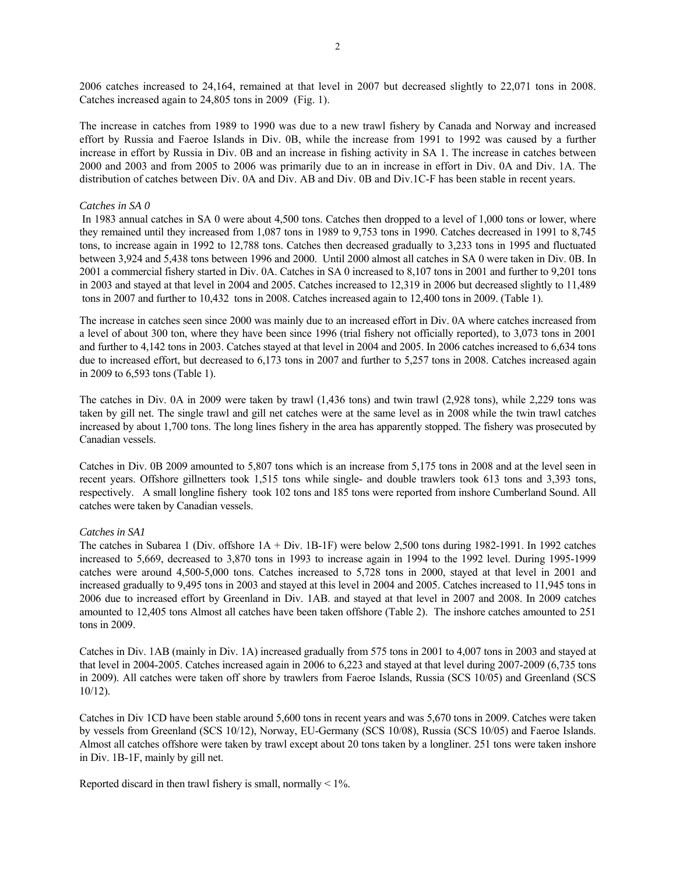2006 catches increased to 24,164, remained at that level in 2007 but decreased slightly to 22,071 tons in 2008. Catches increased again to 24,805 tons in 2009 (Fig. 1).

The increase in catches from 1989 to 1990 was due to a new trawl fishery by Canada and Norway and increased effort by Russia and Faeroe Islands in Div. 0B, while the increase from 1991 to 1992 was caused by a further increase in effort by Russia in Div. 0B and an increase in fishing activity in SA 1. The increase in catches between 2000 and 2003 and from 2005 to 2006 was primarily due to an in increase in effort in Div. 0A and Div. 1A. The distribution of catches between Div. 0A and Div. AB and Div. 0B and Div.1C-F has been stable in recent years.

#### *Catches in SA 0*

 In 1983 annual catches in SA 0 were about 4,500 tons. Catches then dropped to a level of 1,000 tons or lower, where they remained until they increased from 1,087 tons in 1989 to 9,753 tons in 1990. Catches decreased in 1991 to 8,745 tons, to increase again in 1992 to 12,788 tons. Catches then decreased gradually to 3,233 tons in 1995 and fluctuated between 3,924 and 5,438 tons between 1996 and 2000. Until 2000 almost all catches in SA 0 were taken in Div. 0B. In 2001 a commercial fishery started in Div. 0A. Catches in SA 0 increased to 8,107 tons in 2001 and further to 9,201 tons in 2003 and stayed at that level in 2004 and 2005. Catches increased to 12,319 in 2006 but decreased slightly to 11,489 tons in 2007 and further to 10,432 tons in 2008. Catches increased again to 12,400 tons in 2009. (Table 1).

The increase in catches seen since 2000 was mainly due to an increased effort in Div. 0A where catches increased from a level of about 300 ton, where they have been since 1996 (trial fishery not officially reported), to 3,073 tons in 2001 and further to 4,142 tons in 2003. Catches stayed at that level in 2004 and 2005. In 2006 catches increased to 6,634 tons due to increased effort, but decreased to 6,173 tons in 2007 and further to 5,257 tons in 2008. Catches increased again in 2009 to 6,593 tons (Table 1).

The catches in Div. 0A in 2009 were taken by trawl (1,436 tons) and twin trawl (2,928 tons), while 2,229 tons was taken by gill net. The single trawl and gill net catches were at the same level as in 2008 while the twin trawl catches increased by about 1,700 tons. The long lines fishery in the area has apparently stopped. The fishery was prosecuted by Canadian vessels.

Catches in Div. 0B 2009 amounted to 5,807 tons which is an increase from 5,175 tons in 2008 and at the level seen in recent years. Offshore gillnetters took 1,515 tons while single- and double trawlers took 613 tons and 3,393 tons, respectively. A small longline fishery took 102 tons and 185 tons were reported from inshore Cumberland Sound. All catches were taken by Canadian vessels.

#### *Catches in SA1*

The catches in Subarea 1 (Div. offshore 1A + Div. 1B-1F) were below 2,500 tons during 1982-1991. In 1992 catches increased to 5,669, decreased to 3,870 tons in 1993 to increase again in 1994 to the 1992 level. During 1995-1999 catches were around 4,500-5,000 tons. Catches increased to 5,728 tons in 2000, stayed at that level in 2001 and increased gradually to 9,495 tons in 2003 and stayed at this level in 2004 and 2005. Catches increased to 11,945 tons in 2006 due to increased effort by Greenland in Div. 1AB. and stayed at that level in 2007 and 2008. In 2009 catches amounted to 12,405 tons Almost all catches have been taken offshore (Table 2). The inshore catches amounted to 251 tons in 2009.

Catches in Div. 1AB (mainly in Div. 1A) increased gradually from 575 tons in 2001 to 4,007 tons in 2003 and stayed at that level in 2004-2005. Catches increased again in 2006 to 6,223 and stayed at that level during 2007-2009 (6,735 tons in 2009). All catches were taken off shore by trawlers from Faeroe Islands, Russia (SCS 10/05) and Greenland (SCS 10/12).

Catches in Div 1CD have been stable around 5,600 tons in recent years and was 5,670 tons in 2009. Catches were taken by vessels from Greenland (SCS 10/12), Norway, EU-Germany (SCS 10/08), Russia (SCS 10/05) and Faeroe Islands. Almost all catches offshore were taken by trawl except about 20 tons taken by a longliner. 251 tons were taken inshore in Div. 1B-1F, mainly by gill net.

Reported discard in then trawl fishery is small, normally  $\leq 1\%$ .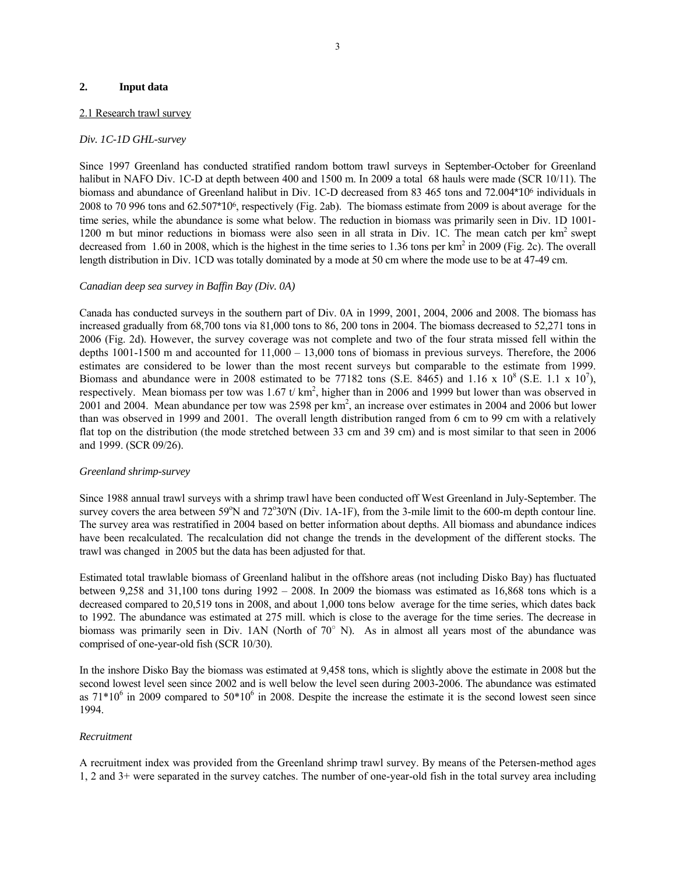#### **2. Input data**

#### 2.1 Research trawl survey

#### *Div. 1C-1D GHL-survey*

Since 1997 Greenland has conducted stratified random bottom trawl surveys in September-October for Greenland halibut in NAFO Div. 1C-D at depth between 400 and 1500 m. In 2009 a total 68 hauls were made (SCR 10/11). The biomass and abundance of Greenland halibut in Div. 1C-D decreased from 83 465 tons and 72.004\*106 individuals in 2008 to 70 996 tons and 62.507\*106, respectively (Fig. 2ab). The biomass estimate from 2009 is about average for the time series, while the abundance is some what below. The reduction in biomass was primarily seen in Div. 1D 1001- 1200 m but minor reductions in biomass were also seen in all strata in Div. 1C. The mean catch per  $km<sup>2</sup>$  swept decreased from  $1.60$  in 2008, which is the highest in the time series to  $1.36$  tons per km<sup>2</sup> in 2009 (Fig. 2c). The overall length distribution in Div. 1CD was totally dominated by a mode at 50 cm where the mode use to be at 47-49 cm.

#### *Canadian deep sea survey in Baffin Bay (Div. 0A)*

Canada has conducted surveys in the southern part of Div. 0A in 1999, 2001, 2004, 2006 and 2008. The biomass has increased gradually from 68,700 tons via 81,000 tons to 86, 200 tons in 2004. The biomass decreased to 52,271 tons in 2006 (Fig. 2d). However, the survey coverage was not complete and two of the four strata missed fell within the depths 1001-1500 m and accounted for 11,000 – 13,000 tons of biomass in previous surveys. Therefore, the 2006 estimates are considered to be lower than the most recent surveys but comparable to the estimate from 1999. Biomass and abundance were in 2008 estimated to be 77182 tons (S.E. 8465) and 1.16 x  $10^8$  (S.E. 1.1 x  $10^7$ ), respectively. Mean biomass per tow was  $1.67$  t/km<sup>2</sup>, higher than in 2006 and 1999 but lower than was observed in 2001 and 2004. Mean abundance per tow was 2598 per km<sup>2</sup>, an increase over estimates in 2004 and 2006 but lower than was observed in 1999 and 2001. The overall length distribution ranged from 6 cm to 99 cm with a relatively flat top on the distribution (the mode stretched between 33 cm and 39 cm) and is most similar to that seen in 2006 and 1999. (SCR 09/26).

#### *Greenland shrimp-survey*

Since 1988 annual trawl surveys with a shrimp trawl have been conducted off West Greenland in July-September. The survey covers the area between  $59^{\circ}$ N and  $72^{\circ}30^{\circ}$ N (Div. 1A-1F), from the 3-mile limit to the 600-m depth contour line. The survey area was restratified in 2004 based on better information about depths. All biomass and abundance indices have been recalculated. The recalculation did not change the trends in the development of the different stocks. The trawl was changed in 2005 but the data has been adjusted for that.

Estimated total trawlable biomass of Greenland halibut in the offshore areas (not including Disko Bay) has fluctuated between 9,258 and 31,100 tons during 1992 – 2008. In 2009 the biomass was estimated as 16,868 tons which is a decreased compared to 20,519 tons in 2008, and about 1,000 tons below average for the time series, which dates back to 1992. The abundance was estimated at 275 mill. which is close to the average for the time series. The decrease in biomass was primarily seen in Div. 1AN (North of 70° N). As in almost all years most of the abundance was comprised of one-year-old fish (SCR 10/30).

In the inshore Disko Bay the biomass was estimated at 9,458 tons, which is slightly above the estimate in 2008 but the second lowest level seen since 2002 and is well below the level seen during 2003-2006. The abundance was estimated as  $71*10^6$  in 2009 compared to  $50*10^6$  in 2008. Despite the increase the estimate it is the second lowest seen since 1994.

#### *Recruitment*

A recruitment index was provided from the Greenland shrimp trawl survey. By means of the Petersen-method ages 1, 2 and 3+ were separated in the survey catches. The number of one-year-old fish in the total survey area including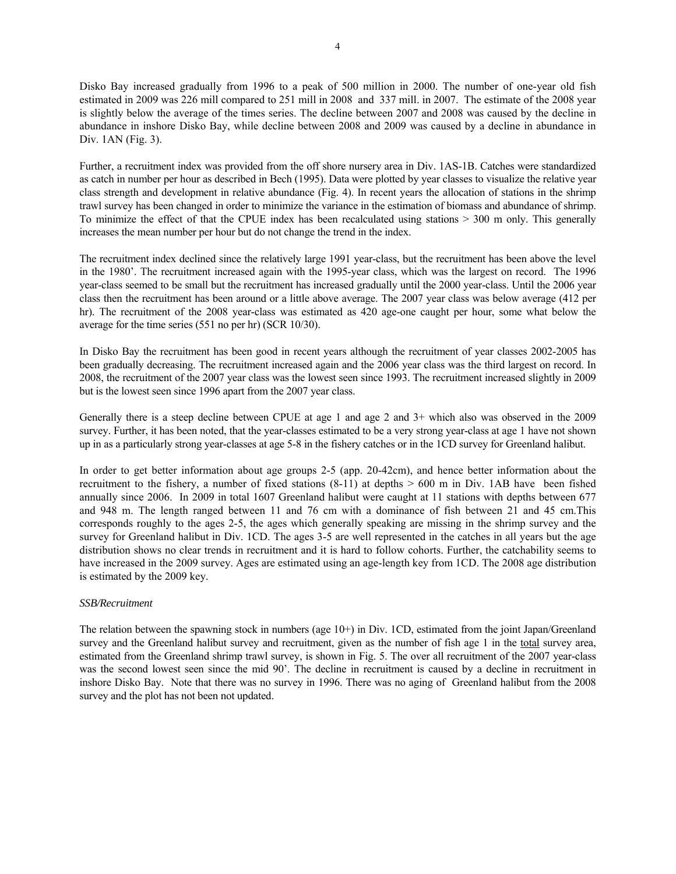Disko Bay increased gradually from 1996 to a peak of 500 million in 2000. The number of one-year old fish estimated in 2009 was 226 mill compared to 251 mill in 2008 and 337 mill. in 2007. The estimate of the 2008 year is slightly below the average of the times series. The decline between 2007 and 2008 was caused by the decline in abundance in inshore Disko Bay, while decline between 2008 and 2009 was caused by a decline in abundance in Div. 1AN (Fig. 3).

Further, a recruitment index was provided from the off shore nursery area in Div. 1AS-1B. Catches were standardized as catch in number per hour as described in Bech (1995). Data were plotted by year classes to visualize the relative year class strength and development in relative abundance (Fig. 4). In recent years the allocation of stations in the shrimp trawl survey has been changed in order to minimize the variance in the estimation of biomass and abundance of shrimp. To minimize the effect of that the CPUE index has been recalculated using stations > 300 m only. This generally increases the mean number per hour but do not change the trend in the index.

The recruitment index declined since the relatively large 1991 year-class, but the recruitment has been above the level in the 1980'. The recruitment increased again with the 1995-year class, which was the largest on record. The 1996 year-class seemed to be small but the recruitment has increased gradually until the 2000 year-class. Until the 2006 year class then the recruitment has been around or a little above average. The 2007 year class was below average (412 per hr). The recruitment of the 2008 year-class was estimated as 420 age-one caught per hour, some what below the average for the time series (551 no per hr) (SCR 10/30).

In Disko Bay the recruitment has been good in recent years although the recruitment of year classes 2002-2005 has been gradually decreasing. The recruitment increased again and the 2006 year class was the third largest on record. In 2008, the recruitment of the 2007 year class was the lowest seen since 1993. The recruitment increased slightly in 2009 but is the lowest seen since 1996 apart from the 2007 year class.

Generally there is a steep decline between CPUE at age 1 and age 2 and 3+ which also was observed in the 2009 survey. Further, it has been noted, that the year-classes estimated to be a very strong year-class at age 1 have not shown up in as a particularly strong year-classes at age 5-8 in the fishery catches or in the 1CD survey for Greenland halibut.

In order to get better information about age groups 2-5 (app. 20-42cm), and hence better information about the recruitment to the fishery, a number of fixed stations (8-11) at depths > 600 m in Div. 1AB have been fished annually since 2006. In 2009 in total 1607 Greenland halibut were caught at 11 stations with depths between 677 and 948 m. The length ranged between 11 and 76 cm with a dominance of fish between 21 and 45 cm.This corresponds roughly to the ages 2-5, the ages which generally speaking are missing in the shrimp survey and the survey for Greenland halibut in Div. 1CD. The ages 3-5 are well represented in the catches in all years but the age distribution shows no clear trends in recruitment and it is hard to follow cohorts. Further, the catchability seems to have increased in the 2009 survey. Ages are estimated using an age-length key from 1CD. The 2008 age distribution is estimated by the 2009 key.

#### *SSB/Recruitment*

The relation between the spawning stock in numbers (age 10+) in Div. 1CD, estimated from the joint Japan/Greenland survey and the Greenland halibut survey and recruitment, given as the number of fish age 1 in the total survey area, estimated from the Greenland shrimp trawl survey, is shown in Fig. 5. The over all recruitment of the 2007 year-class was the second lowest seen since the mid 90'. The decline in recruitment is caused by a decline in recruitment in inshore Disko Bay. Note that there was no survey in 1996. There was no aging of Greenland halibut from the 2008 survey and the plot has not been not updated.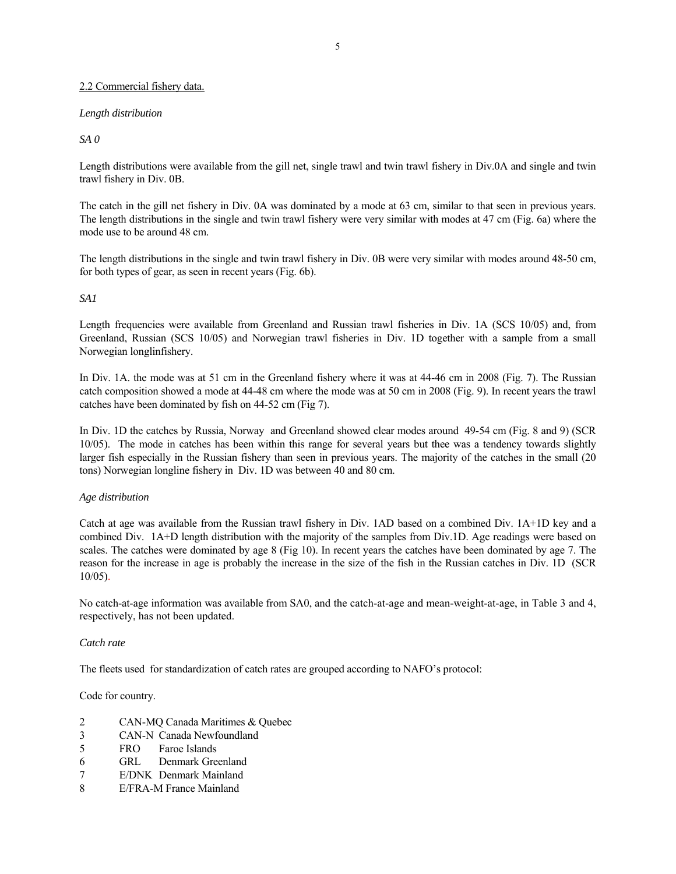#### 2.2 Commercial fishery data.

#### *Length distribution*

*SA 0* 

Length distributions were available from the gill net, single trawl and twin trawl fishery in Div.0A and single and twin trawl fishery in Div. 0B.

The catch in the gill net fishery in Div. 0A was dominated by a mode at 63 cm, similar to that seen in previous years. The length distributions in the single and twin trawl fishery were very similar with modes at 47 cm (Fig. 6a) where the mode use to be around 48 cm.

The length distributions in the single and twin trawl fishery in Div. 0B were very similar with modes around 48-50 cm, for both types of gear, as seen in recent years (Fig. 6b).

#### *SA1*

Length frequencies were available from Greenland and Russian trawl fisheries in Div. 1A (SCS 10/05) and, from Greenland, Russian (SCS 10/05) and Norwegian trawl fisheries in Div. 1D together with a sample from a small Norwegian longlinfishery.

In Div. 1A. the mode was at 51 cm in the Greenland fishery where it was at 44-46 cm in 2008 (Fig. 7). The Russian catch composition showed a mode at 44-48 cm where the mode was at 50 cm in 2008 (Fig. 9). In recent years the trawl catches have been dominated by fish on 44-52 cm (Fig 7).

In Div. 1D the catches by Russia, Norway and Greenland showed clear modes around 49-54 cm (Fig. 8 and 9) (SCR 10/05). The mode in catches has been within this range for several years but thee was a tendency towards slightly larger fish especially in the Russian fishery than seen in previous years. The majority of the catches in the small (20 tons) Norwegian longline fishery in Div. 1D was between 40 and 80 cm.

#### *Age distribution*

Catch at age was available from the Russian trawl fishery in Div. 1AD based on a combined Div. 1A+1D key and a combined Div. 1A+D length distribution with the majority of the samples from Div.1D. Age readings were based on scales. The catches were dominated by age 8 (Fig 10). In recent years the catches have been dominated by age 7. The reason for the increase in age is probably the increase in the size of the fish in the Russian catches in Div. 1D (SCR 10/05).

No catch-at-age information was available from SA0, and the catch-at-age and mean-weight-at-age, in Table 3 and 4, respectively, has not been updated.

#### *Catch rate*

The fleets used for standardization of catch rates are grouped according to NAFO's protocol:

Code for country.

- 2 CAN-MQ Canada Maritimes & Quebec
- 3 CAN-N Canada Newfoundland
- 5 FRO Faroe Islands
- 6 GRL Denmark Greenland
- 7 E/DNK Denmark Mainland
- 8 E/FRA-M France Mainland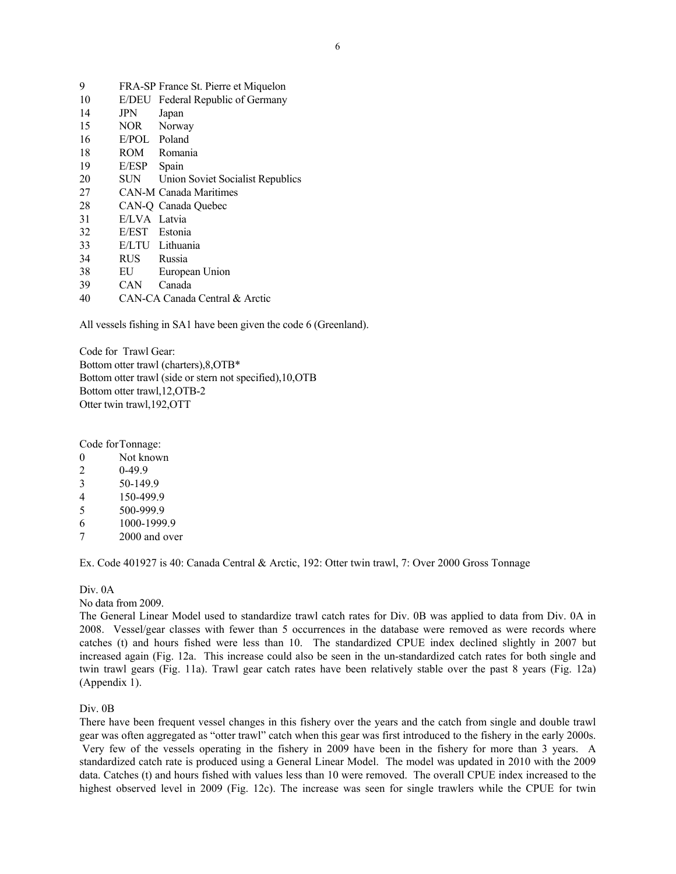| 9  |              | FRA-SP France St. Pierre et Miquelon |
|----|--------------|--------------------------------------|
| 10 | E/DEU        | Federal Republic of Germany          |
| 14 | JPN          | Japan                                |
| 15 | NOR —        | Norway                               |
| 16 | E/POL Poland |                                      |
| 18 | <b>ROM</b>   | Romania                              |
| 19 | E/ESP        | Spain                                |
| 20 | SUN          | Union Soviet Socialist Republics     |
| 27 |              | <b>CAN-M Canada Maritimes</b>        |
| 28 |              | CAN-O Canada Ouebec                  |
| 31 | E/LVA        | Latvia                               |
| 32 | E/EST        | Estonia                              |
| 33 |              | E/LTU Lithuania                      |
| 34 | RUS          | Russia                               |
| 38 | EU           | European Union                       |
| 39 | CAN          | Canada                               |
| 40 |              | CAN-CA Canada Central & Arctic       |

All vessels fishing in SA1 have been given the code 6 (Greenland).

Code for Trawl Gear: Bottom otter trawl (charters),8,OTB\* Bottom otter trawl (side or stern not specified),10,OTB Bottom otter trawl,12,OTB-2 Otter twin trawl,192,OTT

Code for Tonnage:

0 Not known

- 2 0-49.9
- 3 50-149.9
- 4 150-499.9
- 5 500-999.9
- 6 1000-1999.9
- 7 2000 and over

Ex. Code 401927 is 40: Canada Central & Arctic, 192: Otter twin trawl, 7: Over 2000 Gross Tonnage

Div. 0A

No data from 2009.

The General Linear Model used to standardize trawl catch rates for Div. 0B was applied to data from Div. 0A in 2008. Vessel/gear classes with fewer than 5 occurrences in the database were removed as were records where catches (t) and hours fished were less than 10. The standardized CPUE index declined slightly in 2007 but increased again (Fig. 12a. This increase could also be seen in the un-standardized catch rates for both single and twin trawl gears (Fig. 11a). Trawl gear catch rates have been relatively stable over the past 8 years (Fig. 12a) (Appendix 1).

Div. 0B

There have been frequent vessel changes in this fishery over the years and the catch from single and double trawl gear was often aggregated as "otter trawl" catch when this gear was first introduced to the fishery in the early 2000s. Very few of the vessels operating in the fishery in 2009 have been in the fishery for more than 3 years. A standardized catch rate is produced using a General Linear Model. The model was updated in 2010 with the 2009 data. Catches (t) and hours fished with values less than 10 were removed. The overall CPUE index increased to the highest observed level in 2009 (Fig. 12c). The increase was seen for single trawlers while the CPUE for twin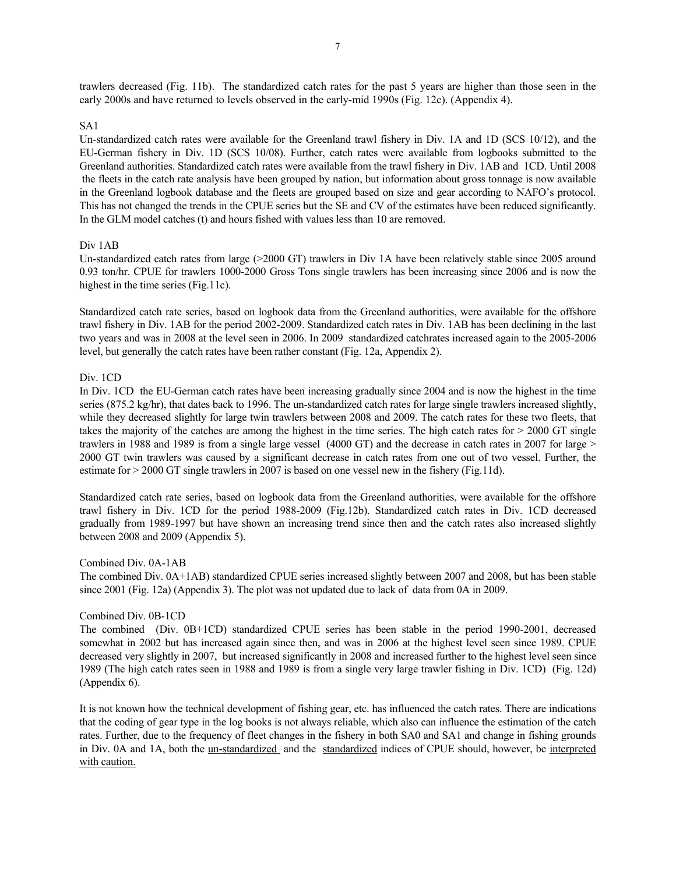trawlers decreased (Fig. 11b). The standardized catch rates for the past 5 years are higher than those seen in the early 2000s and have returned to levels observed in the early-mid 1990s (Fig. 12c). (Appendix 4).

#### SA1

Un-standardized catch rates were available for the Greenland trawl fishery in Div. 1A and 1D (SCS 10/12), and the EU-German fishery in Div. 1D (SCS 10/08). Further, catch rates were available from logbooks submitted to the Greenland authorities. Standardized catch rates were available from the trawl fishery in Div. 1AB and 1CD. Until 2008 the fleets in the catch rate analysis have been grouped by nation, but information about gross tonnage is now available in the Greenland logbook database and the fleets are grouped based on size and gear according to NAFO's protocol. This has not changed the trends in the CPUE series but the SE and CV of the estimates have been reduced significantly. In the GLM model catches (t) and hours fished with values less than 10 are removed.

#### Div 1AB

Un-standardized catch rates from large (>2000 GT) trawlers in Div 1A have been relatively stable since 2005 around 0.93 ton/hr. CPUE for trawlers 1000-2000 Gross Tons single trawlers has been increasing since 2006 and is now the highest in the time series (Fig.11c).

Standardized catch rate series, based on logbook data from the Greenland authorities, were available for the offshore trawl fishery in Div. 1AB for the period 2002-2009. Standardized catch rates in Div. 1AB has been declining in the last two years and was in 2008 at the level seen in 2006. In 2009 standardized catchrates increased again to the 2005-2006 level, but generally the catch rates have been rather constant (Fig. 12a, Appendix 2).

#### Div. 1CD

In Div. 1CD the EU-German catch rates have been increasing gradually since 2004 and is now the highest in the time series (875.2 kg/hr), that dates back to 1996. The un-standardized catch rates for large single trawlers increased slightly, while they decreased slightly for large twin trawlers between 2008 and 2009. The catch rates for these two fleets, that takes the majority of the catches are among the highest in the time series. The high catch rates for > 2000 GT single trawlers in 1988 and 1989 is from a single large vessel (4000 GT) and the decrease in catch rates in 2007 for large > 2000 GT twin trawlers was caused by a significant decrease in catch rates from one out of two vessel. Further, the estimate for > 2000 GT single trawlers in 2007 is based on one vessel new in the fishery (Fig.11d).

Standardized catch rate series, based on logbook data from the Greenland authorities, were available for the offshore trawl fishery in Div. 1CD for the period 1988-2009 (Fig.12b). Standardized catch rates in Div. 1CD decreased gradually from 1989-1997 but have shown an increasing trend since then and the catch rates also increased slightly between 2008 and 2009 (Appendix 5).

#### Combined Div. 0A-1AB

The combined Div. 0A+1AB) standardized CPUE series increased slightly between 2007 and 2008, but has been stable since 2001 (Fig. 12a) (Appendix 3). The plot was not updated due to lack of data from 0A in 2009.

#### Combined Div. 0B-1CD

The combined (Div. 0B+1CD) standardized CPUE series has been stable in the period 1990-2001, decreased somewhat in 2002 but has increased again since then, and was in 2006 at the highest level seen since 1989. CPUE decreased very slightly in 2007, but increased significantly in 2008 and increased further to the highest level seen since 1989 (The high catch rates seen in 1988 and 1989 is from a single very large trawler fishing in Div. 1CD) (Fig. 12d) (Appendix 6).

It is not known how the technical development of fishing gear, etc. has influenced the catch rates. There are indications that the coding of gear type in the log books is not always reliable, which also can influence the estimation of the catch rates. Further, due to the frequency of fleet changes in the fishery in both SA0 and SA1 and change in fishing grounds in Div. 0A and 1A, both the un-standardized and the standardized indices of CPUE should, however, be interpreted with caution.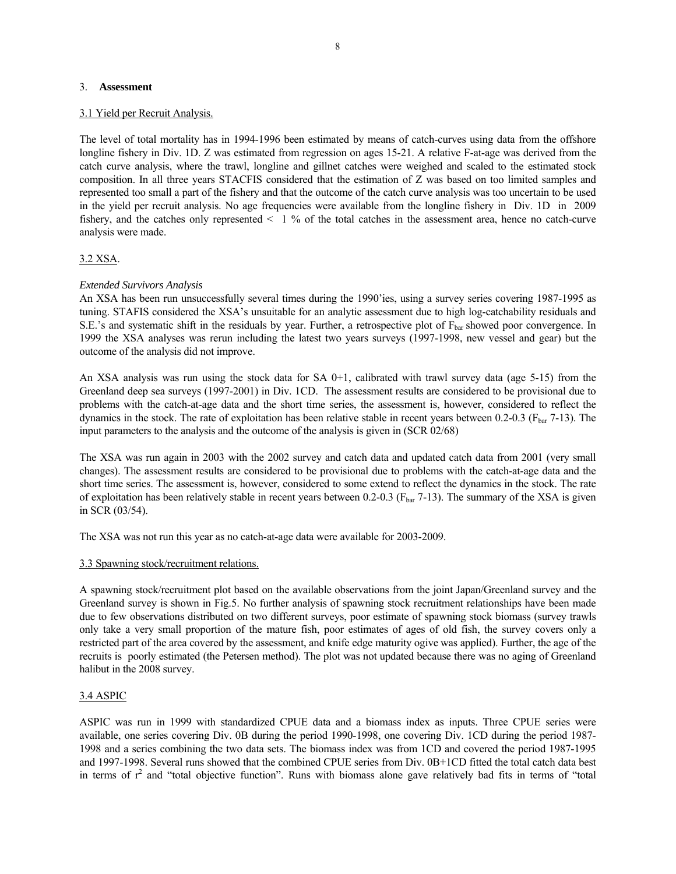#### 3. **Assessment**

#### 3.1 Yield per Recruit Analysis.

The level of total mortality has in 1994-1996 been estimated by means of catch-curves using data from the offshore longline fishery in Div. 1D. Z was estimated from regression on ages 15-21. A relative F-at-age was derived from the catch curve analysis, where the trawl, longline and gillnet catches were weighed and scaled to the estimated stock composition. In all three years STACFIS considered that the estimation of Z was based on too limited samples and represented too small a part of the fishery and that the outcome of the catch curve analysis was too uncertain to be used in the yield per recruit analysis. No age frequencies were available from the longline fishery in Div. 1D in 2009 fishery, and the catches only represented  $\leq 1$  % of the total catches in the assessment area, hence no catch-curve analysis were made.

#### 3.2 XSA.

#### *Extended Survivors Analysis*

An XSA has been run unsuccessfully several times during the 1990'ies, using a survey series covering 1987-1995 as tuning. STAFIS considered the XSA's unsuitable for an analytic assessment due to high log-catchability residuals and S.E.'s and systematic shift in the residuals by year. Further, a retrospective plot of  $F_{\text{bar}}$  showed poor convergence. In 1999 the XSA analyses was rerun including the latest two years surveys (1997-1998, new vessel and gear) but the outcome of the analysis did not improve.

An XSA analysis was run using the stock data for SA  $0+1$ , calibrated with trawl survey data (age 5-15) from the Greenland deep sea surveys (1997-2001) in Div. 1CD. The assessment results are considered to be provisional due to problems with the catch-at-age data and the short time series, the assessment is, however, considered to reflect the dynamics in the stock. The rate of exploitation has been relative stable in recent years between  $0.2$ - $0.3$  ( $F_{bar}$  7-13). The input parameters to the analysis and the outcome of the analysis is given in (SCR 02/68)

The XSA was run again in 2003 with the 2002 survey and catch data and updated catch data from 2001 (very small changes). The assessment results are considered to be provisional due to problems with the catch-at-age data and the short time series. The assessment is, however, considered to some extend to reflect the dynamics in the stock. The rate of exploitation has been relatively stable in recent years between 0.2-0.3 ( $F_{bar}$ 7-13). The summary of the XSA is given in SCR (03/54).

The XSA was not run this year as no catch-at-age data were available for 2003-2009.

#### 3.3 Spawning stock/recruitment relations.

A spawning stock/recruitment plot based on the available observations from the joint Japan/Greenland survey and the Greenland survey is shown in Fig.5. No further analysis of spawning stock recruitment relationships have been made due to few observations distributed on two different surveys, poor estimate of spawning stock biomass (survey trawls only take a very small proportion of the mature fish, poor estimates of ages of old fish, the survey covers only a restricted part of the area covered by the assessment, and knife edge maturity ogive was applied). Further, the age of the recruits is poorly estimated (the Petersen method). The plot was not updated because there was no aging of Greenland halibut in the 2008 survey.

#### 3.4 ASPIC

ASPIC was run in 1999 with standardized CPUE data and a biomass index as inputs. Three CPUE series were available, one series covering Div. 0B during the period 1990-1998, one covering Div. 1CD during the period 1987- 1998 and a series combining the two data sets. The biomass index was from 1CD and covered the period 1987-1995 and 1997-1998. Several runs showed that the combined CPUE series from Div. 0B+1CD fitted the total catch data best in terms of  $r^2$  and "total objective function". Runs with biomass alone gave relatively bad fits in terms of "total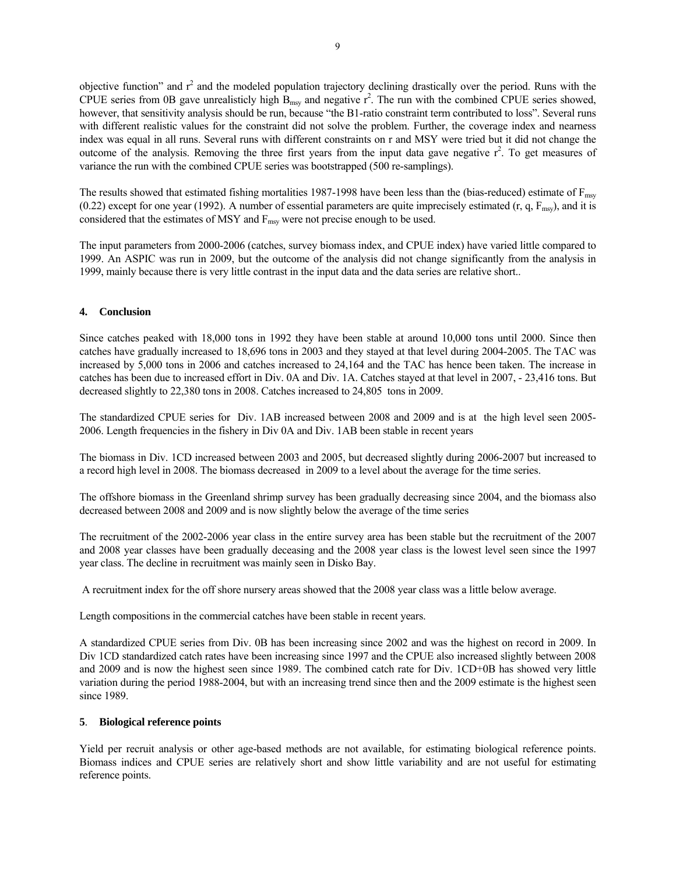objective function" and  $r^2$  and the modeled population trajectory declining drastically over the period. Runs with the CPUE series from 0B gave unrealisticly high  $B_{msy}$  and negative  $r^2$ . The run with the combined CPUE series showed, however, that sensitivity analysis should be run, because "the B1-ratio constraint term contributed to loss". Several runs with different realistic values for the constraint did not solve the problem. Further, the coverage index and nearness index was equal in all runs. Several runs with different constraints on r and MSY were tried but it did not change the outcome of the analysis. Removing the three first years from the input data gave negative  $r^2$ . To get measures of variance the run with the combined CPUE series was bootstrapped (500 re-samplings).

The results showed that estimated fishing mortalities 1987-1998 have been less than the (bias-reduced) estimate of  $F_{\text{msy}}$ (0.22) except for one year (1992). A number of essential parameters are quite imprecisely estimated  $(r, q, F_{msy})$ , and it is considered that the estimates of MSY and  $F_{\text{msv}}$  were not precise enough to be used.

The input parameters from 2000-2006 (catches, survey biomass index, and CPUE index) have varied little compared to 1999. An ASPIC was run in 2009, but the outcome of the analysis did not change significantly from the analysis in 1999, mainly because there is very little contrast in the input data and the data series are relative short..

#### **4. Conclusion**

Since catches peaked with 18,000 tons in 1992 they have been stable at around 10,000 tons until 2000. Since then catches have gradually increased to 18,696 tons in 2003 and they stayed at that level during 2004-2005. The TAC was increased by 5,000 tons in 2006 and catches increased to 24,164 and the TAC has hence been taken. The increase in catches has been due to increased effort in Div. 0A and Div. 1A. Catches stayed at that level in 2007, - 23,416 tons. But decreased slightly to 22,380 tons in 2008. Catches increased to 24,805 tons in 2009.

The standardized CPUE series for Div. 1AB increased between 2008 and 2009 and is at the high level seen 2005- 2006. Length frequencies in the fishery in Div 0A and Div. 1AB been stable in recent years

The biomass in Div. 1CD increased between 2003 and 2005, but decreased slightly during 2006-2007 but increased to a record high level in 2008. The biomass decreased in 2009 to a level about the average for the time series.

The offshore biomass in the Greenland shrimp survey has been gradually decreasing since 2004, and the biomass also decreased between 2008 and 2009 and is now slightly below the average of the time series

The recruitment of the 2002-2006 year class in the entire survey area has been stable but the recruitment of the 2007 and 2008 year classes have been gradually deceasing and the 2008 year class is the lowest level seen since the 1997 year class. The decline in recruitment was mainly seen in Disko Bay.

A recruitment index for the off shore nursery areas showed that the 2008 year class was a little below average.

Length compositions in the commercial catches have been stable in recent years.

A standardized CPUE series from Div. 0B has been increasing since 2002 and was the highest on record in 2009. In Div 1CD standardized catch rates have been increasing since 1997 and the CPUE also increased slightly between 2008 and 2009 and is now the highest seen since 1989. The combined catch rate for Div. 1CD+0B has showed very little variation during the period 1988-2004, but with an increasing trend since then and the 2009 estimate is the highest seen since 1989.

#### **5**. **Biological reference points**

Yield per recruit analysis or other age-based methods are not available, for estimating biological reference points. Biomass indices and CPUE series are relatively short and show little variability and are not useful for estimating reference points.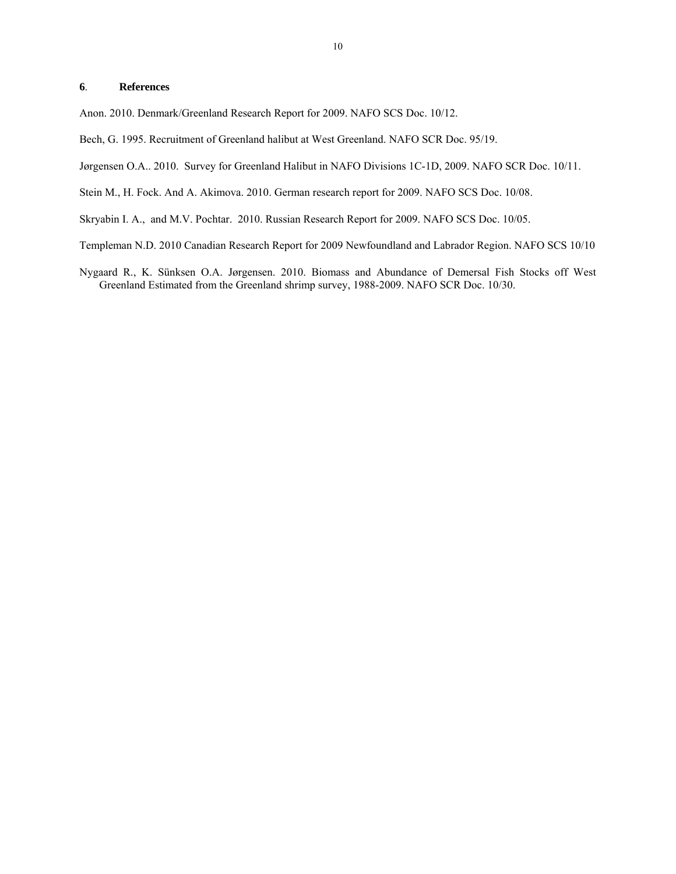#### **6**. **References**

Anon. 2010. Denmark/Greenland Research Report for 2009. NAFO SCS Doc. 10/12.

- Bech, G. 1995. Recruitment of Greenland halibut at West Greenland. NAFO SCR Doc. 95/19.
- Jørgensen O.A.. 2010. Survey for Greenland Halibut in NAFO Divisions 1C-1D, 2009. NAFO SCR Doc. 10/11.

Stein M., H. Fock. And A. Akimova. 2010. German research report for 2009. NAFO SCS Doc. 10/08.

Skryabin I. A., and M.V. Pochtar. 2010. Russian Research Report for 2009. NAFO SCS Doc. 10/05.

- Templeman N.D. 2010 Canadian Research Report for 2009 Newfoundland and Labrador Region. NAFO SCS 10/10
- Nygaard R., K. Sünksen O.A. Jørgensen. 2010. Biomass and Abundance of Demersal Fish Stocks off West Greenland Estimated from the Greenland shrimp survey, 1988-2009. NAFO SCR Doc. 10/30.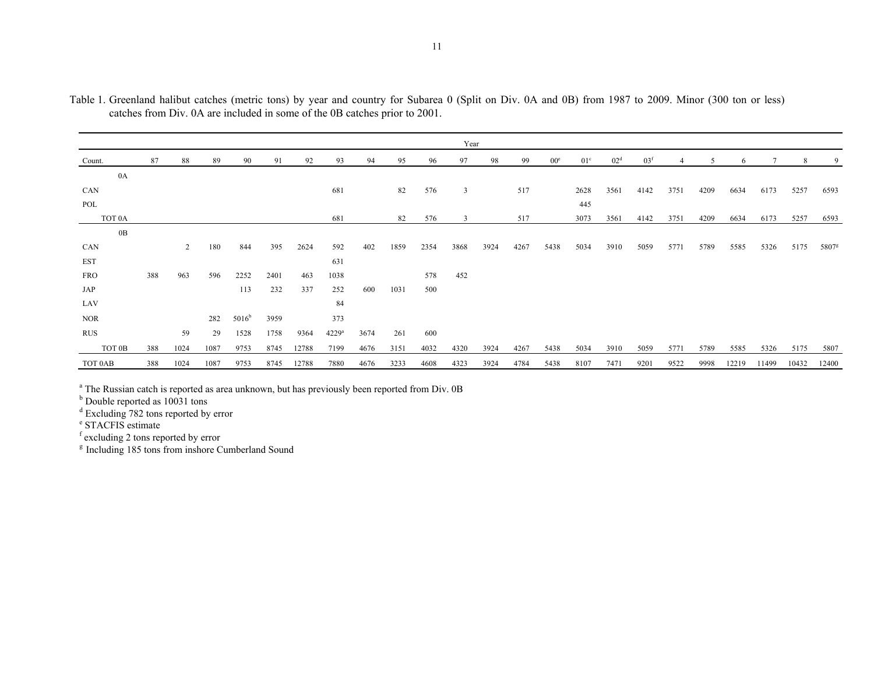|                    |     |                |      |                |      |       |                     |      |      |      | Year         |      |      |                 |                 |                 |                 |      |      |       |       |       |                   |
|--------------------|-----|----------------|------|----------------|------|-------|---------------------|------|------|------|--------------|------|------|-----------------|-----------------|-----------------|-----------------|------|------|-------|-------|-------|-------------------|
| Count.             | 87  | 88             | 89   | 90             | 91   | 92    | 93                  | 94   | 95   | 96   | 97           | 98   | 99   | 00 <sup>e</sup> | 01 <sup>c</sup> | 02 <sup>d</sup> | 03 <sup>f</sup> |      |      | 6     |       | 8     | 9                 |
| 0A                 |     |                |      |                |      |       |                     |      |      |      |              |      |      |                 |                 |                 |                 |      |      |       |       |       |                   |
| CAN                |     |                |      |                |      |       | 681                 |      | 82   | 576  | $\mathbf{3}$ |      | 517  |                 | 2628            | 3561            | 4142            | 3751 | 4209 | 6634  | 6173  | 5257  | 6593              |
| POL                |     |                |      |                |      |       |                     |      |      |      |              |      |      |                 | 445             |                 |                 |      |      |       |       |       |                   |
| TOT <sub>0</sub> A |     |                |      |                |      |       | 681                 |      | 82   | 576  | 3            |      | 517  |                 | 3073            | 3561            | 4142            | 3751 | 4209 | 6634  | 6173  | 5257  | 6593              |
| 0B                 |     |                |      |                |      |       |                     |      |      |      |              |      |      |                 |                 |                 |                 |      |      |       |       |       |                   |
| CAN                |     | $\overline{2}$ | 180  | 844            | 395  | 2624  | 592                 | 402  | 1859 | 2354 | 3868         | 3924 | 4267 | 5438            | 5034            | 3910            | 5059            | 5771 | 5789 | 5585  | 5326  | 5175  | 5807 <sup>g</sup> |
| <b>EST</b>         |     |                |      |                |      |       | 631                 |      |      |      |              |      |      |                 |                 |                 |                 |      |      |       |       |       |                   |
| <b>FRO</b>         | 388 | 963            | 596  | 2252           | 2401 | 463   | 1038                |      |      | 578  | 452          |      |      |                 |                 |                 |                 |      |      |       |       |       |                   |
| JAP                |     |                |      | 113            | 232  | 337   | 252                 | 600  | 1031 | 500  |              |      |      |                 |                 |                 |                 |      |      |       |       |       |                   |
| LAV                |     |                |      |                |      |       | 84                  |      |      |      |              |      |      |                 |                 |                 |                 |      |      |       |       |       |                   |
| <b>NOR</b>         |     |                | 282  | $5016^{\rm b}$ | 3959 |       | 373                 |      |      |      |              |      |      |                 |                 |                 |                 |      |      |       |       |       |                   |
| <b>RUS</b>         |     | 59             | 29   | 1528           | 1758 | 9364  | $4229$ <sup>a</sup> | 3674 | 261  | 600  |              |      |      |                 |                 |                 |                 |      |      |       |       |       |                   |
| TOT 0B             | 388 | 1024           | 1087 | 9753           | 8745 | 12788 | 7199                | 4676 | 3151 | 4032 | 4320         | 3924 | 4267 | 5438            | 5034            | 3910            | 5059            | 5771 | 5789 | 5585  | 5326  | 5175  | 5807              |
| TOT 0AB            | 388 | 1024           | 1087 | 9753           | 8745 | 12788 | 7880                | 4676 | 3233 | 4608 | 4323         | 3924 | 4784 | 5438            | 8107            | 7471            | 9201            | 9522 | 9998 | 12219 | 11499 | 10432 | 12400             |

Table 1. Greenland halibut catches (metric tons) by year and country for Subarea 0 (Split on Div. 0A and 0B) from 1987 to 2009. Minor (300 ton or less) catches from Div. 0A are included in some of the 0B catches prior to 2001.

<sup>a</sup> The Russian catch is reported as area unknown, but has previously been reported from Div. 0B

<sup>b</sup> Double reported as 10031 tons

<sup>d</sup> Excluding 782 tons reported by error

e STACFIS estimate

f excluding 2 tons reported by error

<sup>g</sup> Including 185 tons from inshore Cumberland Sound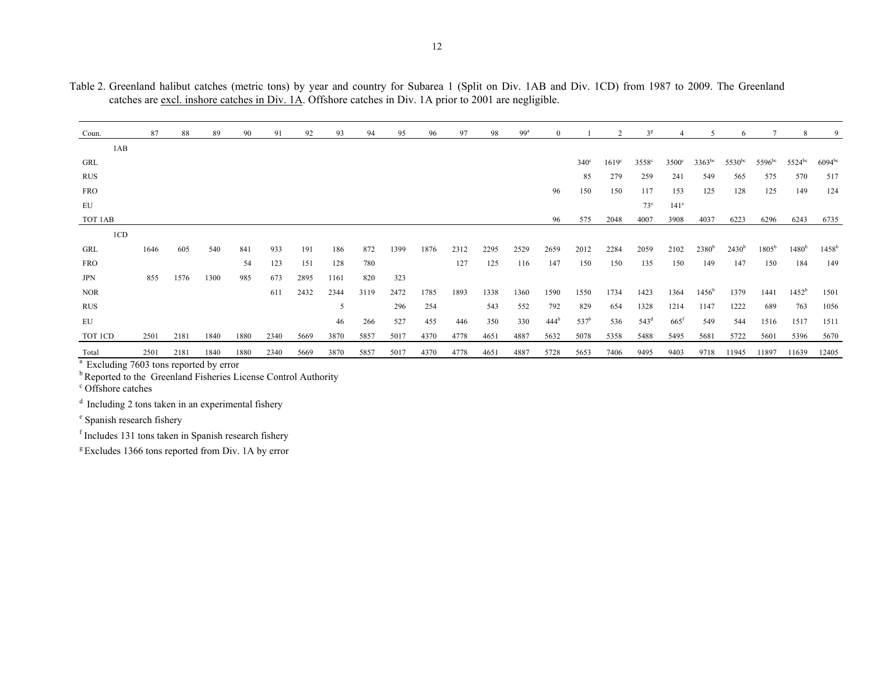| Table 2. Greenland halibut catches (metric tons) by year and country for Subarea 1 (Split on Div. 1AB and Div. 1CD) from 1987 to 2009. The Greenland |  |  |  |  |  |  |  |  |  |
|------------------------------------------------------------------------------------------------------------------------------------------------------|--|--|--|--|--|--|--|--|--|
| catches are excl. inshore catches in Div. 1A. Offshore catches in Div. 1A prior to 2001 are negligible.                                              |  |  |  |  |  |  |  |  |  |

| Coun.      | 87   | 88   | 89   | 90   | 91   | 92   | 93   | 94   | 95   | 96   | 97   | 98   | 99 <sup>a</sup> | $\Omega$         |                  |                   | 3 <sup>g</sup>   |                    |                   | 6           |                | 8                 | 9              |
|------------|------|------|------|------|------|------|------|------|------|------|------|------|-----------------|------------------|------------------|-------------------|------------------|--------------------|-------------------|-------------|----------------|-------------------|----------------|
| 1AB        |      |      |      |      |      |      |      |      |      |      |      |      |                 |                  |                  |                   |                  |                    |                   |             |                |                   |                |
| GRL        |      |      |      |      |      |      |      |      |      |      |      |      |                 |                  | $340^\circ$      | 1619 <sup>c</sup> | $3558^\circ$     | $3500^{\circ}$     | $3363^{bc}$       | $5530^{bc}$ | $5596^{bc}$    | $5524^{bc}$       | $6094^{bc}$    |
| <b>RUS</b> |      |      |      |      |      |      |      |      |      |      |      |      |                 |                  | 85               | 279               | 259              | 241                | 549               | 565         | 575            | 570               | 517            |
| <b>FRO</b> |      |      |      |      |      |      |      |      |      |      |      |      |                 | 96               | 150              | 150               | 117              | 153                | 125               | 128         | 125            | 149               | 124            |
| EU         |      |      |      |      |      |      |      |      |      |      |      |      |                 |                  |                  |                   | $73^e$           | 141 <sup>e</sup>   |                   |             |                |                   |                |
| TOT 1AB    |      |      |      |      |      |      |      |      |      |      |      |      |                 | 96               | 575              | 2048              | 4007             | 3908               | 4037              | 6223        | 6296           | 6243              | 6735           |
| 1CD        |      |      |      |      |      |      |      |      |      |      |      |      |                 |                  |                  |                   |                  |                    |                   |             |                |                   |                |
| GRL        | 1646 | 605  | 540  | 841  | 933  | 191  | 186  | 872  | 1399 | 1876 | 2312 | 2295 | 2529            | 2659             | 2012             | 2284              | 2059             | 2102               | 2380 <sup>b</sup> | $2430^{b}$  | $1805^{\rm b}$ | 1480 <sup>b</sup> | $1458^{\rm b}$ |
| <b>FRO</b> |      |      |      | 54   | 123  | 151  | 128  | 780  |      |      | 127  | 125  | 116             | 147              | 150              | 150               | 135              | 150                | 149               | 147         | 150            | 184               | 149            |
| <b>JPN</b> | 855  | 1576 | 1300 | 985  | 673  | 2895 | 1161 | 820  | 323  |      |      |      |                 |                  |                  |                   |                  |                    |                   |             |                |                   |                |
| <b>NOR</b> |      |      |      |      | 611  | 2432 | 2344 | 3119 | 2472 | 1785 | 1893 | 1338 | 1360            | 1590             | 1550             | 1734              | 1423             | 1364               | $1456^{\rm b}$    | 1379        | 1441           | $1452^b$          | 1501           |
| <b>RUS</b> |      |      |      |      |      |      | .5   |      | 296  | 254  |      | 543  | 552             | 792              | 829              | 654               | 1328             | 1214               | 1147              | 1222        | 689            | 763               | 1056           |
| EU         |      |      |      |      |      |      | 46   | 266  | 527  | 455  | 446  | 350  | 330             | 444 <sup>b</sup> | 537 <sup>b</sup> | 536               | 543 <sup>d</sup> | $665$ <sup>f</sup> | 549               | 544         | 1516           | 1517              | 1511           |
| TOT ICD    | 2501 | 2181 | 1840 | 1880 | 2340 | 5669 | 3870 | 5857 | 5017 | 4370 | 4778 | 4651 | 4887            | 5632             | 5078             | 5358              | 5488             | 5495               | 5681              | 5722        | 5601           | 5396              | 5670           |
| Total      | 2501 | 2181 | 1840 | 1880 | 2340 | 5669 | 3870 | 5857 | 5017 | 4370 | 4778 | 4651 | 4887            | 5728             | 5653             | 7406              | 9495             | 9403               | 9718              | 11945       | 11897          | 11639             | 12405          |

<sup>a</sup> Excluding 7603 tons reported by error

<sup>b</sup> Reported to the Greenland Fisheries License Control Authority

<sup>c</sup> Offshore catches

d Including 2 tons taken in an experimental fishery

e Spanish research fishery

f Includes 131 tons taken in Spanish research fishery

 $g$  Excludes 1366 tons reported from Div. 1A by error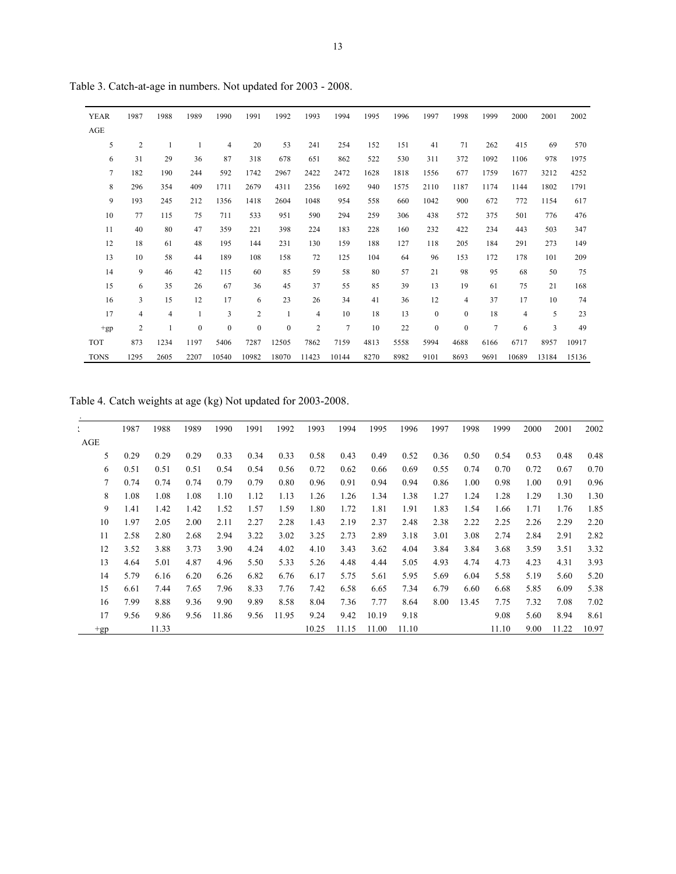| <b>YEAR</b>    | 1987           | 1988           | 1989             | 1990             | 1991     | 1992             | 1993           | 1994           | 1995 | 1996 | 1997             | 1998             | 1999           | 2000  | 2001                    | 2002  |
|----------------|----------------|----------------|------------------|------------------|----------|------------------|----------------|----------------|------|------|------------------|------------------|----------------|-------|-------------------------|-------|
| AGE            |                |                |                  |                  |          |                  |                |                |      |      |                  |                  |                |       |                         |       |
| 5              | $\overline{c}$ | $\mathbf{1}$   | 1                | $\overline{4}$   | 20       | 53               | 241            | 254            | 152  | 151  | 41               | 71               | 262            | 415   | 69                      | 570   |
| 6              | 31             | 29             | 36               | 87               | 318      | 678              | 651            | 862            | 522  | 530  | 311              | 372              | 1092           | 1106  | 978                     | 1975  |
| $\overline{7}$ | 182            | 190            | 244              | 592              | 1742     | 2967             | 2422           | 2472           | 1628 | 1818 | 1556             | 677              | 1759           | 1677  | 3212                    | 4252  |
| 8              | 296            | 354            | 409              | 1711             | 2679     | 4311             | 2356           | 1692           | 940  | 1575 | 2110             | 1187             | 1174           | 1144  | 1802                    | 1791  |
| 9              | 193            | 245            | 212              | 1356             | 1418     | 2604             | 1048           | 954            | 558  | 660  | 1042             | 900              | 672            | 772   | 1154                    | 617   |
| 10             | 77             | 115            | 75               | 711              | 533      | 951              | 590            | 294            | 259  | 306  | 438              | 572              | 375            | 501   | 776                     | 476   |
| 11             | 40             | 80             | 47               | 359              | 221      | 398              | 224            | 183            | 228  | 160  | 232              | 422              | 234            | 443   | 503                     | 347   |
| 12             | 18             | 61             | 48               | 195              | 144      | 231              | 130            | 159            | 188  | 127  | 118              | 205              | 184            | 291   | 273                     | 149   |
| 13             | 10             | 58             | 44               | 189              | 108      | 158              | 72             | 125            | 104  | 64   | 96               | 153              | 172            | 178   | 101                     | 209   |
| 14             | 9              | 46             | 42               | 115              | 60       | 85               | 59             | 58             | 80   | 57   | 21               | 98               | 95             | 68    | 50                      | 75    |
| 15             | 6              | 35             | 26               | 67               | 36       | 45               | 37             | 55             | 85   | 39   | 13               | 19               | 61             | 75    | 21                      | 168   |
| 16             | 3              | 15             | 12               | 17               | 6        | 23               | 26             | 34             | 41   | 36   | 12               | 4                | 37             | 17    | 10                      | 74    |
| 17             | 4              | $\overline{4}$ | 1                | 3                | 2        | $\mathbf{1}$     | $\overline{4}$ | 10             | 18   | 13   | $\boldsymbol{0}$ | $\boldsymbol{0}$ | 18             | 4     | 5                       | 23    |
| $+gp$          | $\overline{c}$ | 1              | $\boldsymbol{0}$ | $\boldsymbol{0}$ | $\bf{0}$ | $\boldsymbol{0}$ | $\overline{2}$ | $\overline{7}$ | 10   | 22   | $\boldsymbol{0}$ | $\boldsymbol{0}$ | $\overline{7}$ | 6     | $\overline{\mathbf{3}}$ | 49    |
| <b>TOT</b>     | 873            | 1234           | 1197             | 5406             | 7287     | 12505            | 7862           | 7159           | 4813 | 5558 | 5994             | 4688             | 6166           | 6717  | 8957                    | 10917 |
| <b>TONS</b>    | 1295           | 2605           | 2207             | 10540            | 10982    | 18070            | 11423          | 10144          | 8270 | 8982 | 9101             | 8693             | 9691           | 10689 | 13184                   | 15136 |

Table 3. Catch-at-age in numbers. Not updated for 2003 - 2008.

Table 4. Catch weights at age (kg) Not updated for 2003-2008.

|       | 1987 | 1988  | 1989 | 1990  | 1991 | 1992  | 1993  | 1994  | 1995  | 1996  | 1997 | 1998  | 1999  | 2000 | 2001  | 2002  |
|-------|------|-------|------|-------|------|-------|-------|-------|-------|-------|------|-------|-------|------|-------|-------|
| AGE   |      |       |      |       |      |       |       |       |       |       |      |       |       |      |       |       |
| 5     | 0.29 | 0.29  | 0.29 | 0.33  | 0.34 | 0.33  | 0.58  | 0.43  | 0.49  | 0.52  | 0.36 | 0.50  | 0.54  | 0.53 | 0.48  | 0.48  |
| 6     | 0.51 | 0.51  | 0.51 | 0.54  | 0.54 | 0.56  | 0.72  | 0.62  | 0.66  | 0.69  | 0.55 | 0.74  | 0.70  | 0.72 | 0.67  | 0.70  |
| 7     | 0.74 | 0.74  | 0.74 | 0.79  | 0.79 | 0.80  | 0.96  | 0.91  | 0.94  | 0.94  | 0.86 | 1.00  | 0.98  | 1.00 | 0.91  | 0.96  |
| 8     | 1.08 | 1.08  | 1.08 | 1.10  | 1.12 | 1.13  | 1.26  | 1.26  | 1.34  | 1.38  | 1.27 | 1.24  | 1.28  | 1.29 | 1.30  | 1.30  |
| 9     | 1.41 | 1.42  | 1.42 | 1.52  | 1.57 | 1.59  | 1.80  | 1.72  | 1.81  | 1.91  | 1.83 | 1.54  | 1.66  | 1.71 | 1.76  | 1.85  |
| 10    | 1.97 | 2.05  | 2.00 | 2.11  | 2.27 | 2.28  | 1.43  | 2.19  | 2.37  | 2.48  | 2.38 | 2.22  | 2.25  | 2.26 | 2.29  | 2.20  |
| 11    | 2.58 | 2.80  | 2.68 | 2.94  | 3.22 | 3.02  | 3.25  | 2.73  | 2.89  | 3.18  | 3.01 | 3.08  | 2.74  | 2.84 | 2.91  | 2.82  |
| 12    | 3.52 | 3.88  | 3.73 | 3.90  | 4.24 | 4.02  | 4.10  | 3.43  | 3.62  | 4.04  | 3.84 | 3.84  | 3.68  | 3.59 | 3.51  | 3.32  |
| 13    | 4.64 | 5.01  | 4.87 | 4.96  | 5.50 | 5.33  | 5.26  | 4.48  | 4.44  | 5.05  | 4.93 | 4.74  | 4.73  | 4.23 | 4.31  | 3.93  |
| 14    | 5.79 | 6.16  | 6.20 | 6.26  | 6.82 | 6.76  | 6.17  | 5.75  | 5.61  | 5.95  | 5.69 | 6.04  | 5.58  | 5.19 | 5.60  | 5.20  |
| 15    | 6.61 | 7.44  | 7.65 | 7.96  | 8.33 | 7.76  | 7.42  | 6.58  | 6.65  | 7.34  | 6.79 | 6.60  | 6.68  | 5.85 | 6.09  | 5.38  |
| 16    | 7.99 | 8.88  | 9.36 | 9.90  | 9.89 | 8.58  | 8.04  | 7.36  | 7.77  | 8.64  | 8.00 | 13.45 | 7.75  | 7.32 | 7.08  | 7.02  |
| 17    | 9.56 | 9.86  | 9.56 | 11.86 | 9.56 | 11.95 | 9.24  | 9.42  | 10.19 | 9.18  |      |       | 9.08  | 5.60 | 8.94  | 8.61  |
| $+gp$ |      | 11.33 |      |       |      |       | 10.25 | 11.15 | 11.00 | 11.10 |      |       | 11.10 | 9.00 | 11.22 | 10.97 |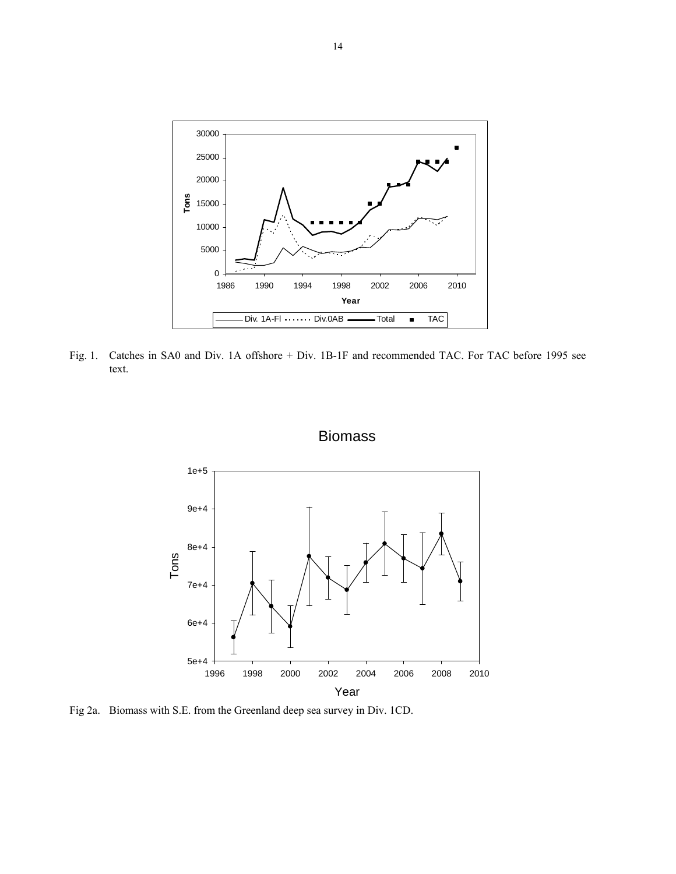

Fig. 1. Catches in SA0 and Div. 1A offshore + Div. 1B-1F and recommended TAC. For TAC before 1995 see text.



### Biomass

Fig 2a. Biomass with S.E. from the Greenland deep sea survey in Div. 1CD.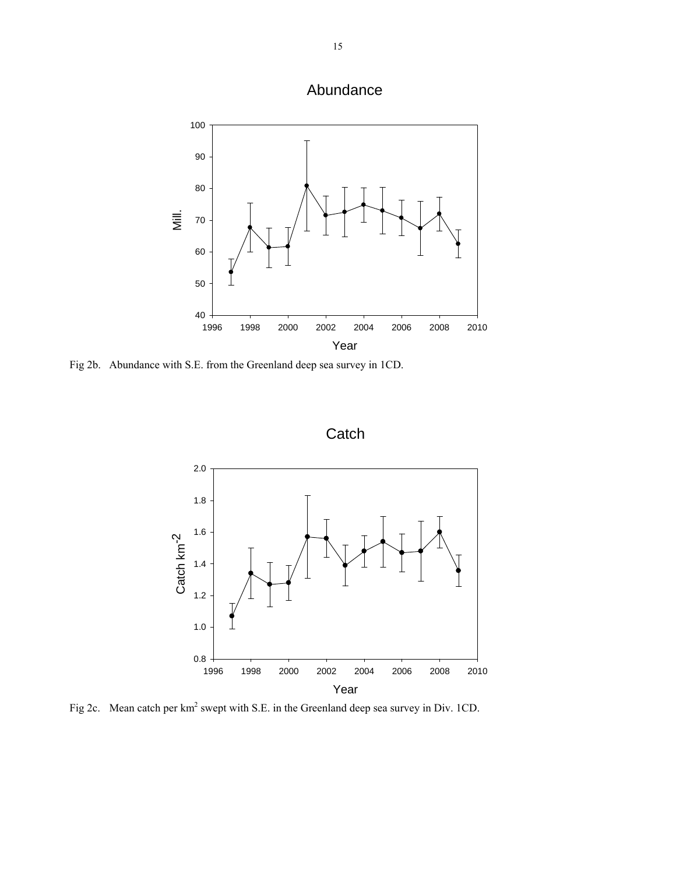



Fig 2b. Abundance with S.E. from the Greenland deep sea survey in 1CD.





Fig 2c. Mean catch per  $km^2$  swept with S.E. in the Greenland deep sea survey in Div. 1CD.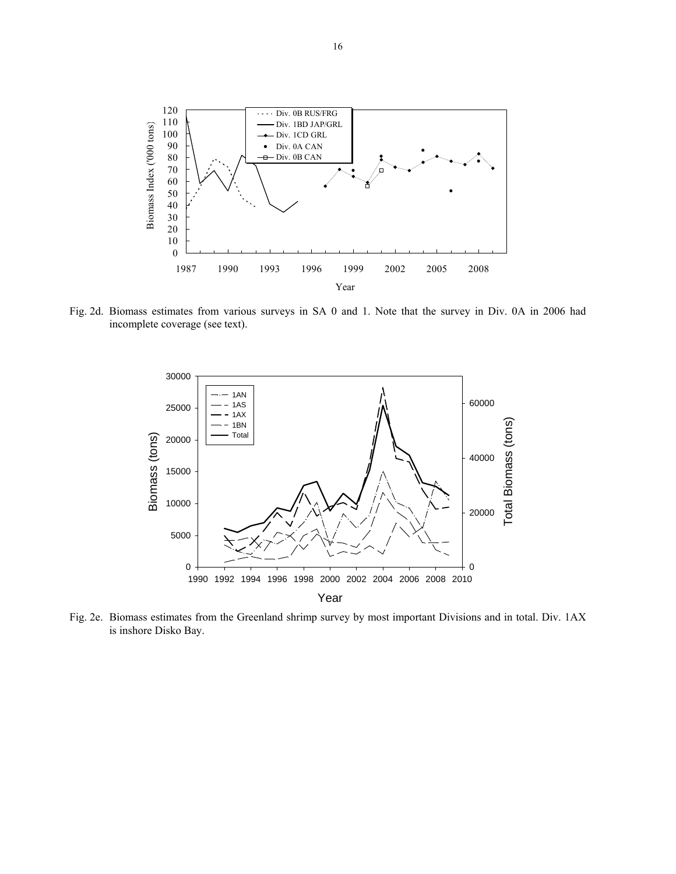

Fig. 2d. Biomass estimates from various surveys in SA 0 and 1. Note that the survey in Div. 0A in 2006 had incomplete coverage (see text).



Fig. 2e. Biomass estimates from the Greenland shrimp survey by most important Divisions and in total. Div. 1AX is inshore Disko Bay.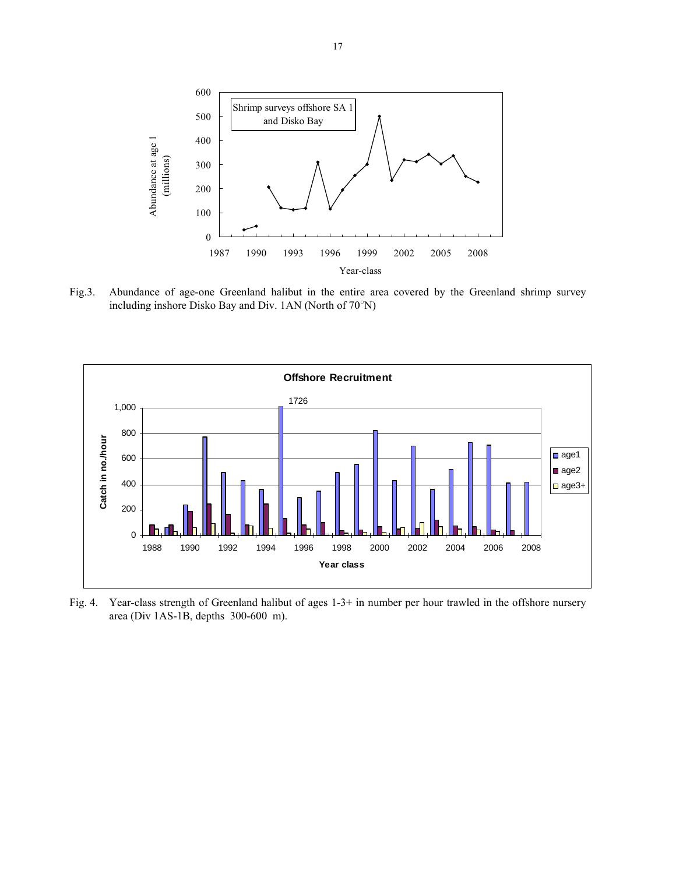

Fig.3. Abundance of age-one Greenland halibut in the entire area covered by the Greenland shrimp survey including inshore Disko Bay and Div. 1AN (North of 70○ N)



Fig. 4. Year-class strength of Greenland halibut of ages 1-3+ in number per hour trawled in the offshore nursery area (Div 1AS-1B, depths 300-600 m).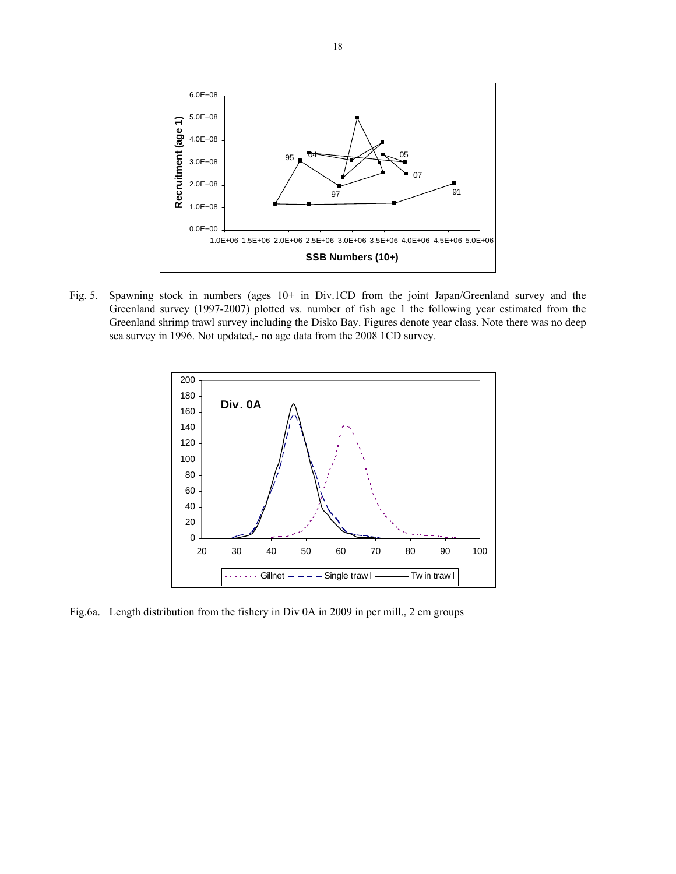

Fig. 5. Spawning stock in numbers (ages 10+ in Div.1CD from the joint Japan/Greenland survey and the Greenland survey (1997-2007) plotted vs. number of fish age 1 the following year estimated from the Greenland shrimp trawl survey including the Disko Bay. Figures denote year class. Note there was no deep sea survey in 1996. Not updated,- no age data from the 2008 1CD survey.



Fig.6a. Length distribution from the fishery in Div 0A in 2009 in per mill., 2 cm groups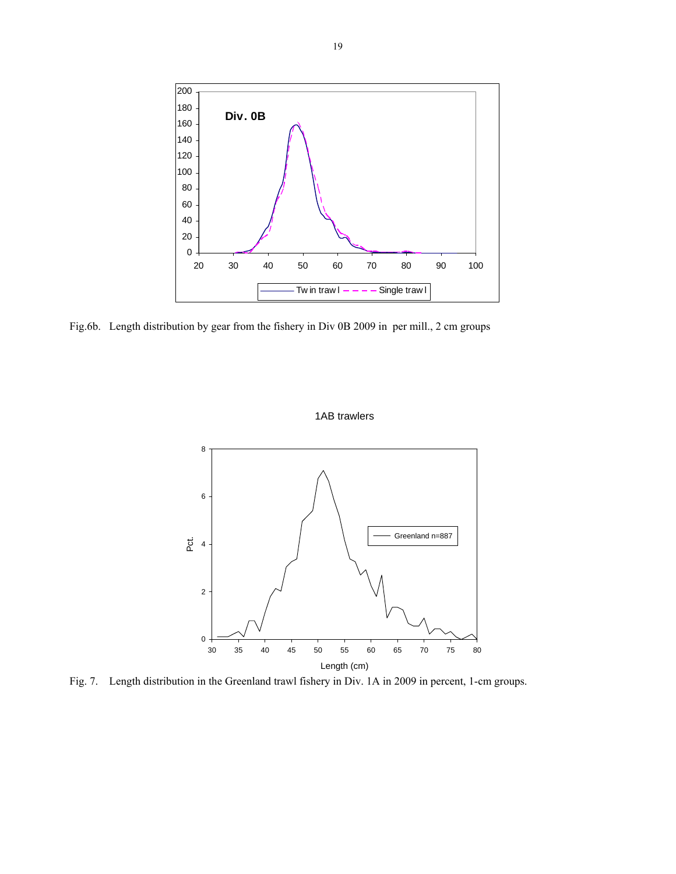

Fig.6b. Length distribution by gear from the fishery in Div 0B 2009 in per mill., 2 cm groups



1AB trawlers

Fig. 7. Length distribution in the Greenland trawl fishery in Div. 1A in 2009 in percent, 1-cm groups.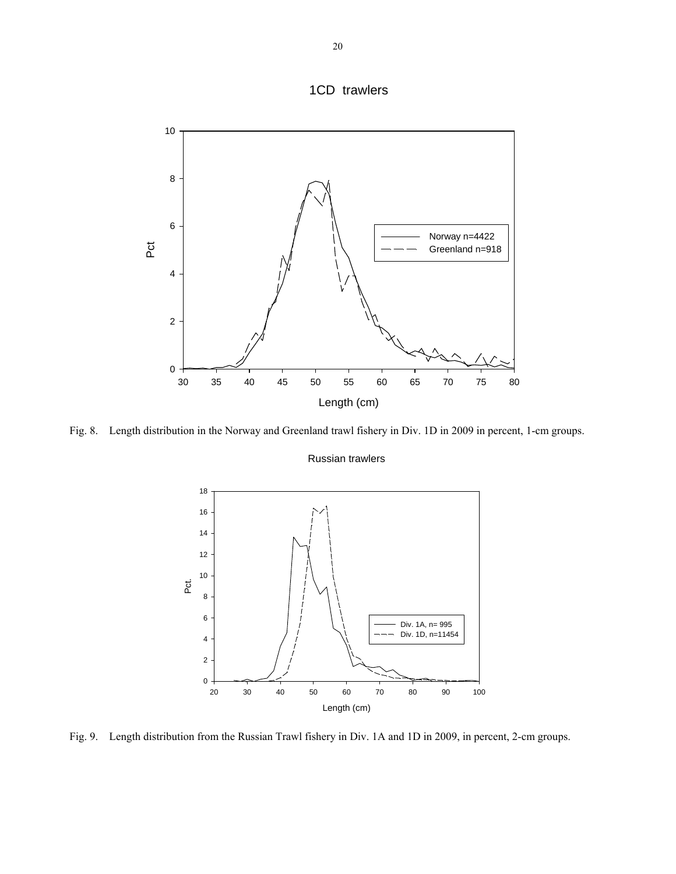



Fig. 8. Length distribution in the Norway and Greenland trawl fishery in Div. 1D in 2009 in percent, 1-cm groups.

#### Russian trawlers



Fig. 9. Length distribution from the Russian Trawl fishery in Div. 1A and 1D in 2009, in percent, 2-cm groups.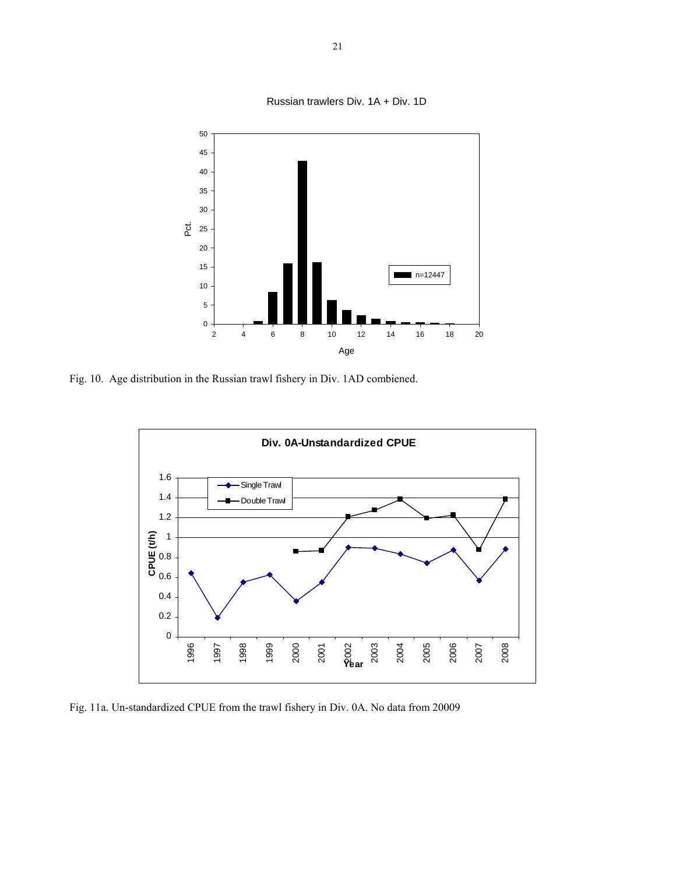

Fig. 10. Age distribution in the Russian trawl fishery in Div. 1AD combiened.



Fig. 11a. Un-standardized CPUE from the trawl fishery in Div. 0A. No data from 20009

Russian trawlers Div. 1A + Div. 1D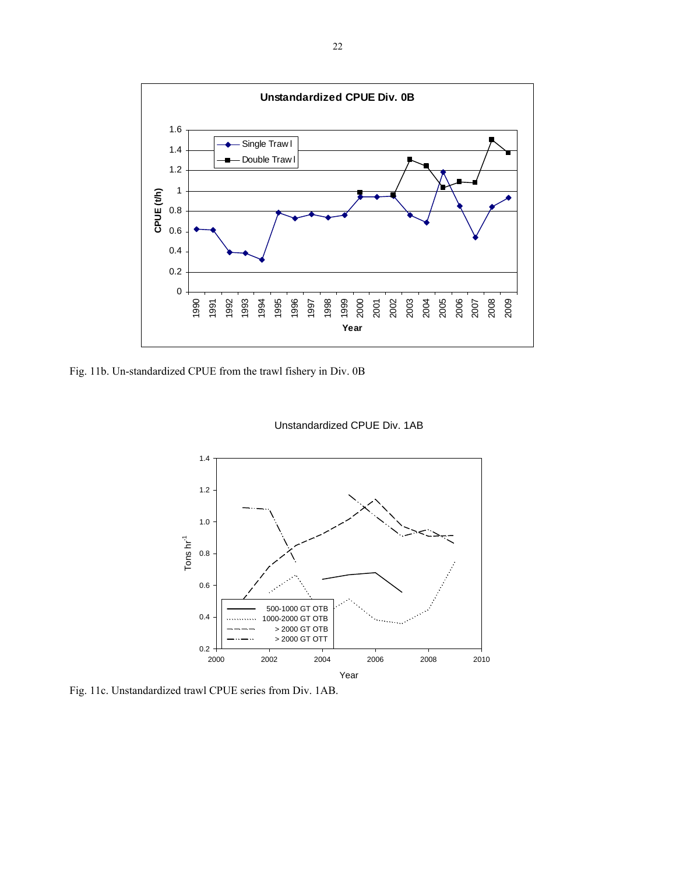

Fig. 11b. Un-standardized CPUE from the trawl fishery in Div. 0B



Unstandardized CPUE Div. 1AB

Fig. 11c. Unstandardized trawl CPUE series from Div. 1AB.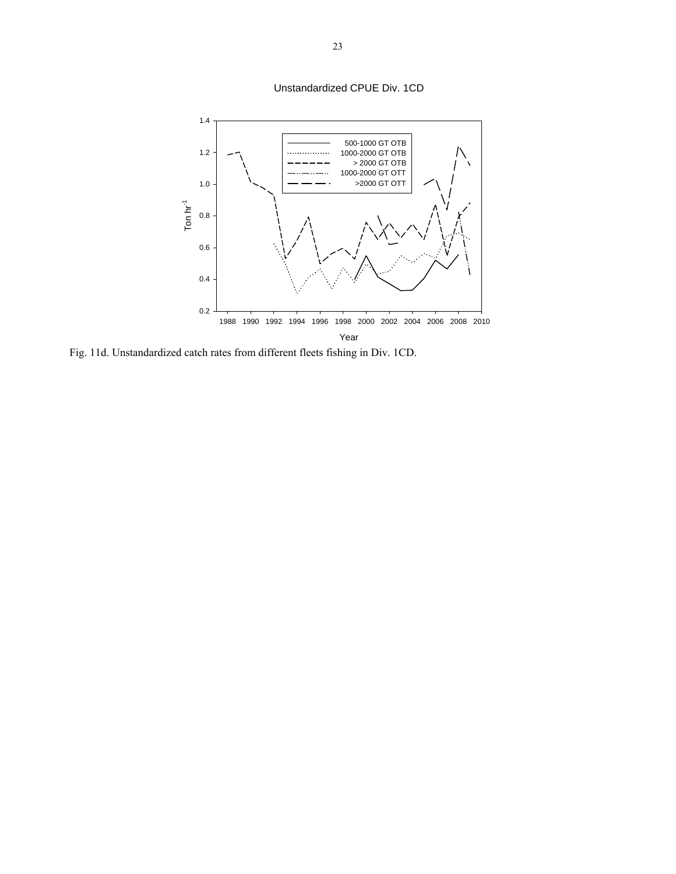Unstandardized CPUE Div. 1CD



Fig. 11d. Unstandardized catch rates from different fleets fishing in Div. 1CD.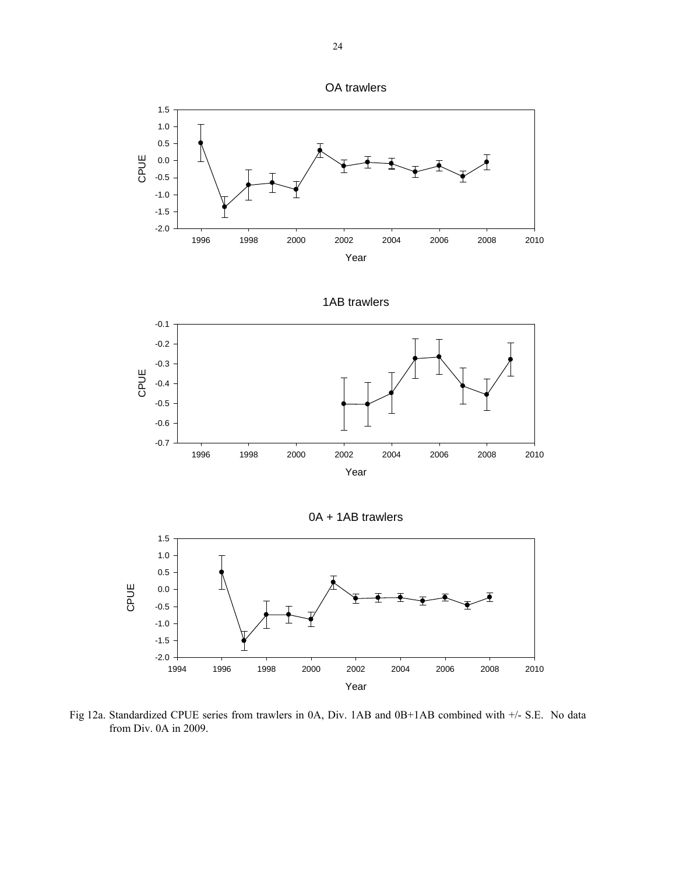





Fig 12a. Standardized CPUE series from trawlers in 0A, Div. 1AB and 0B+1AB combined with +/- S.E. No data from Div. 0A in 2009.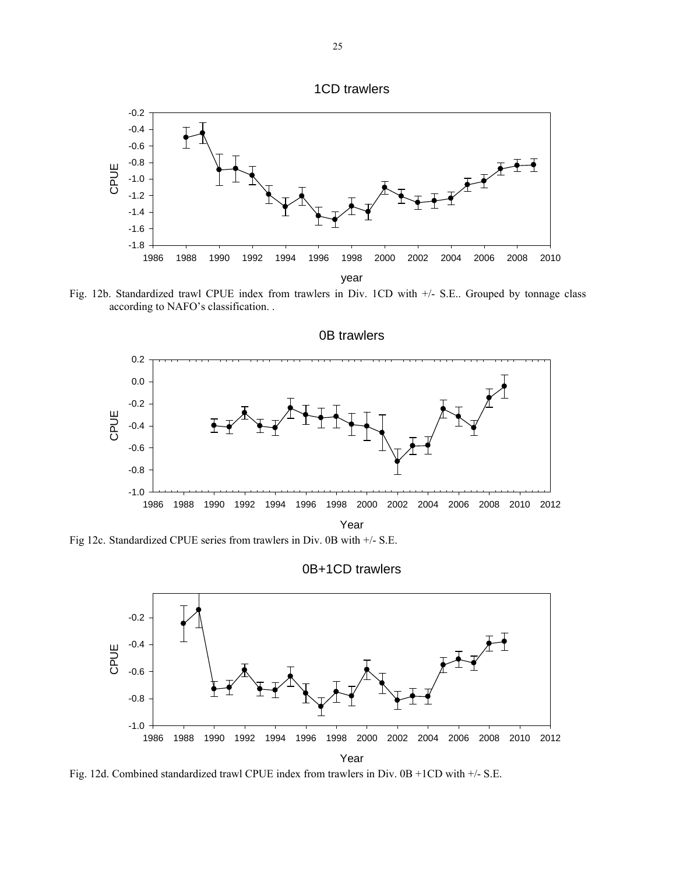



Fig. 12b. Standardized trawl CPUE index from trawlers in Div. 1CD with +/- S.E.. Grouped by tonnage class according to NAFO's classification. .



Fig 12c. Standardized CPUE series from trawlers in Div. 0B with +/- S.E.



Fig. 12d. Combined standardized trawl CPUE index from trawlers in Div. 0B +1CD with +/- S.E.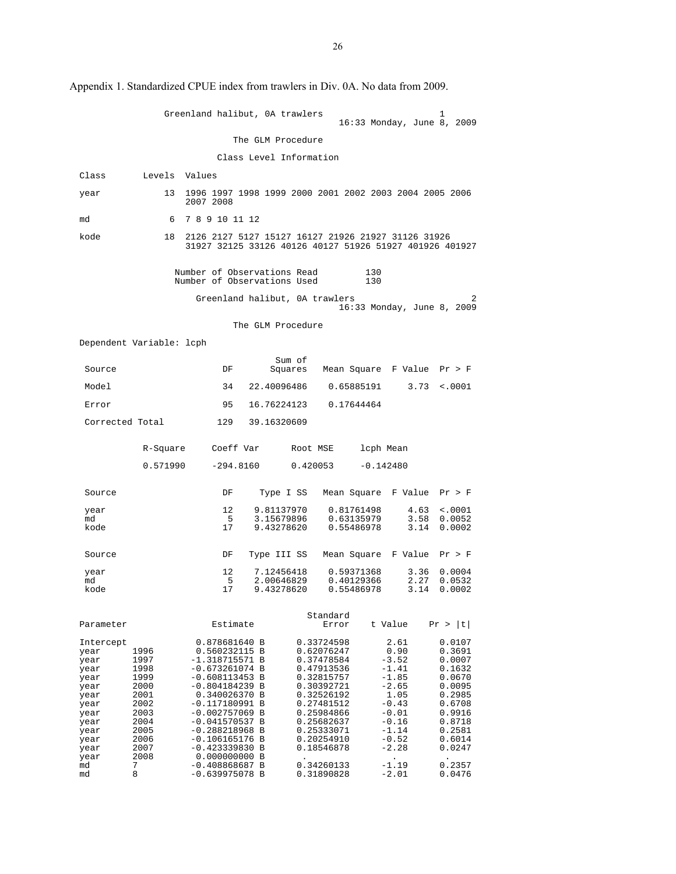|                                                                                           |                                                                              | Greenland halibut, OA trawlers                                                                                                                                                                                  |                          |                                                                                                                                                        |                          | 16:33 Monday, June 8, 2009                                                                                   | ı                                                                                                          |
|-------------------------------------------------------------------------------------------|------------------------------------------------------------------------------|-----------------------------------------------------------------------------------------------------------------------------------------------------------------------------------------------------------------|--------------------------|--------------------------------------------------------------------------------------------------------------------------------------------------------|--------------------------|--------------------------------------------------------------------------------------------------------------|------------------------------------------------------------------------------------------------------------|
|                                                                                           |                                                                              |                                                                                                                                                                                                                 | The GLM Procedure        |                                                                                                                                                        |                          |                                                                                                              |                                                                                                            |
|                                                                                           |                                                                              |                                                                                                                                                                                                                 | Class Level Information  |                                                                                                                                                        |                          |                                                                                                              |                                                                                                            |
| Class                                                                                     | Levels                                                                       | Values                                                                                                                                                                                                          |                          |                                                                                                                                                        |                          |                                                                                                              |                                                                                                            |
| year                                                                                      | 13                                                                           | 1996 1997 1998 1999 2000 2001 2002 2003 2004 2005 2006<br>2007 2008                                                                                                                                             |                          |                                                                                                                                                        |                          |                                                                                                              |                                                                                                            |
| md                                                                                        | 6                                                                            | 7 8 9 10 11 12                                                                                                                                                                                                  |                          |                                                                                                                                                        |                          |                                                                                                              |                                                                                                            |
| kode                                                                                      | 18                                                                           | 2126 2127 5127 15127 16127 21926 21927 31126 31926<br>31927 32125 33126 40126 40127 51926 51927 401926 401927                                                                                                   |                          |                                                                                                                                                        |                          |                                                                                                              |                                                                                                            |
|                                                                                           |                                                                              | Number of Observations Read<br>Number of Observations Used                                                                                                                                                      |                          |                                                                                                                                                        | 130<br>130               |                                                                                                              |                                                                                                            |
|                                                                                           |                                                                              | Greenland halibut, 0A trawlers                                                                                                                                                                                  |                          |                                                                                                                                                        |                          | 16:33 Monday, June 8, 2009                                                                                   | 2                                                                                                          |
|                                                                                           |                                                                              |                                                                                                                                                                                                                 | The GLM Procedure        |                                                                                                                                                        |                          |                                                                                                              |                                                                                                            |
|                                                                                           | Dependent Variable: lcph                                                     |                                                                                                                                                                                                                 |                          |                                                                                                                                                        |                          |                                                                                                              |                                                                                                            |
| Source                                                                                    |                                                                              | DF                                                                                                                                                                                                              | Sum of<br>Squares        |                                                                                                                                                        |                          | Mean Square F Value Pr > F                                                                                   |                                                                                                            |
| Model                                                                                     |                                                                              | 34                                                                                                                                                                                                              | 22.40096486              |                                                                                                                                                        | 0.65885191               | 3.73                                                                                                         | $\sim 0001$                                                                                                |
| Error                                                                                     |                                                                              | 95                                                                                                                                                                                                              | 16.76224123              |                                                                                                                                                        | 0.17644464               |                                                                                                              |                                                                                                            |
| Corrected Total                                                                           |                                                                              | 129                                                                                                                                                                                                             | 39.16320609              |                                                                                                                                                        |                          |                                                                                                              |                                                                                                            |
|                                                                                           | R-Square                                                                     | Coeff Var                                                                                                                                                                                                       |                          | Root MSE                                                                                                                                               |                          | lcph Mean                                                                                                    |                                                                                                            |
|                                                                                           | 0.571990                                                                     | $-294.8160$                                                                                                                                                                                                     |                          | 0.420053                                                                                                                                               |                          | $-0.142480$                                                                                                  |                                                                                                            |
| Source                                                                                    |                                                                              | DF                                                                                                                                                                                                              | Type I SS                |                                                                                                                                                        |                          | Mean Square F Value                                                                                          | Pr > F                                                                                                     |
| year<br>md                                                                                |                                                                              | 12<br>- 5                                                                                                                                                                                                       | 9.81137970<br>3.15679896 |                                                                                                                                                        | 0.81761498<br>0.63135979 | 4.63<br>3.58                                                                                                 | $\sim 0001$<br>0.0052                                                                                      |
| kode                                                                                      |                                                                              | 17                                                                                                                                                                                                              | 9.43278620               |                                                                                                                                                        | 0.55486978               | 3.14                                                                                                         | 0.0002                                                                                                     |
| Source                                                                                    |                                                                              | DF                                                                                                                                                                                                              | Type III SS              |                                                                                                                                                        |                          | Mean Square F Value                                                                                          | Pr > F                                                                                                     |
| year<br>md                                                                                |                                                                              | 12<br>5                                                                                                                                                                                                         | 7.12456418<br>2.00646829 |                                                                                                                                                        | 0.59371368<br>0.40129366 | 3.36<br>2.27                                                                                                 | 0.0004<br>0.0532                                                                                           |
| kode                                                                                      |                                                                              | 17                                                                                                                                                                                                              | 9.43278620               |                                                                                                                                                        | 0.55486978               | 3.14                                                                                                         | 0.0002                                                                                                     |
| Parameter                                                                                 |                                                                              | Estimate                                                                                                                                                                                                        |                          | Standard<br>Error                                                                                                                                      |                          | t Value                                                                                                      | Pr >  t                                                                                                    |
| Intercept<br>year<br>year<br>year<br>year<br>year<br>year<br>year<br>year<br>year<br>year | 1996<br>1997<br>1998<br>1999<br>2000<br>2001<br>2002<br>2003<br>2004<br>2005 | 0.878681640 B<br>0.560232115 B<br>$-1.318715571$ B<br>$-0.673261074$ B<br>$-0.608113453 B$<br>$-0.804184239 B$<br>0.340026370 B<br>$-0.117180991$ B<br>$-0.002757069$ B<br>$-0.041570537 B$<br>$-0.288218968 B$ |                          | 0.33724598<br>0.62076247<br>0.37478584<br>0.47913536<br>0.32815757<br>0.30392721<br>0.32526192<br>0.27481512<br>0.25984866<br>0.25682637<br>0.25333071 |                          | 2.61<br>0.90<br>$-3.52$<br>$-1.41$<br>$-1.85$<br>$-2.65$<br>1.05<br>$-0.43$<br>$-0.01$<br>$-0.16$<br>$-1.14$ | 0.0107<br>0.3691<br>0.0007<br>0.1632<br>0.0670<br>0.0095<br>0.2985<br>0.6708<br>0.9916<br>0.8718<br>0.2581 |
| year<br>year<br>year<br>md<br>md                                                          | 2006<br>2007<br>2008<br>7<br>8                                               | $-0.106165176$ B<br>$-0.423339830 B$<br>0.000000000 B<br>$-0.408868687 B$<br>$-0.639975078$ B                                                                                                                   |                          | 0.20254910<br>0.18546878<br>0.34260133<br>0.31890828                                                                                                   |                          | $-0.52$<br>$-2.28$<br>$\bullet$<br>$-1.19$<br>$-2.01$                                                        | 0.6014<br>0.0247<br>0.2357<br>0.0476                                                                       |

Appendix 1. Standardized CPUE index from trawlers in Div. 0A. No data from 2009.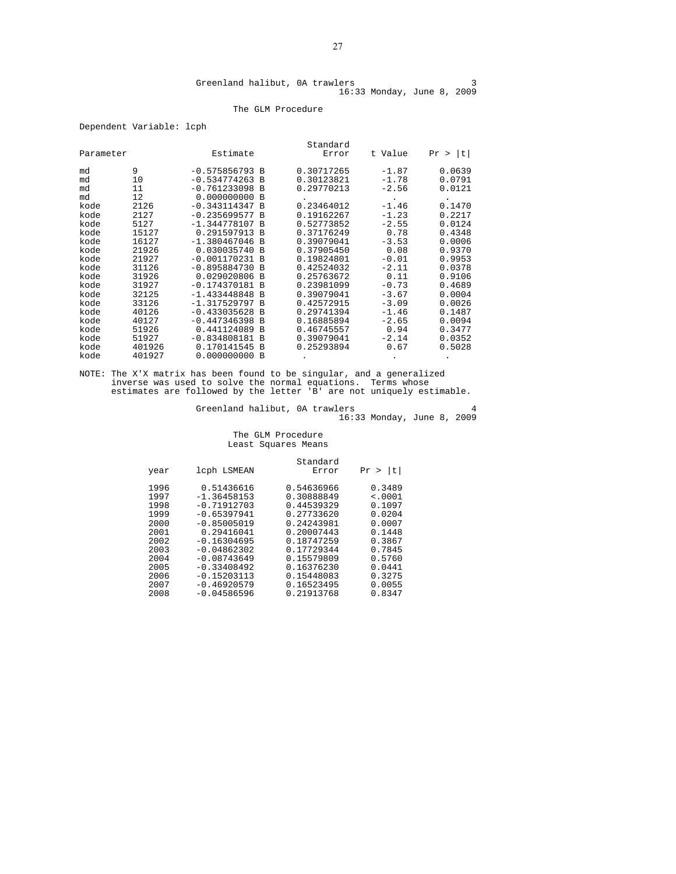#### The GLM Procedure

Dependent Variable: lcph

|           |        |                  |          | Standard   |         |         |
|-----------|--------|------------------|----------|------------|---------|---------|
| Parameter |        | Estimate         |          | Error      | t Value | Pr >  t |
| md        | 9      | $-0.575856793 B$ |          | 0.30717265 | $-1.87$ | 0.0639  |
| md        | 10     | $-0.534774263 B$ |          | 0.30123821 | $-1.78$ | 0.0791  |
| md        | 11     | $-0.761233098$ B |          | 0.29770213 | $-2.56$ | 0.0121  |
| md        | 12     | $0.000000000$ B  |          |            |         |         |
| kode      | 2126   | $-0.343114347 B$ |          | 0.23464012 | $-1.46$ | 0.1470  |
| kode      | 2127   | $-0.235699577 B$ |          | 0.19162267 | $-1.23$ | 0.2217  |
| kode      | 5127   | $-1.344778107 B$ |          | 0.52773852 | $-2.55$ | 0.0124  |
| kode      | 15127  | 0.291597913 B    |          | 0.37176249 | 0.78    | 0.4348  |
| kode      | 16127  | $-1.380467046 B$ |          | 0.39079041 | $-3.53$ | 0.0006  |
| kode      | 21926  | 0.030035740 B    |          | 0.37905450 | 0.08    | 0.9370  |
| kode      | 21927  | $-0.001170231 B$ |          | 0.19824801 | $-0.01$ | 0.9953  |
| kode      | 31126  | $-0.895884730 B$ |          | 0.42524032 | $-2.11$ | 0.0378  |
| kode      | 31926  | 0.029020806      | <b>B</b> | 0.25763672 | 0.11    | 0.9106  |
| kode      | 31927  | $-0.174370181 B$ |          | 0.23981099 | $-0.73$ | 0.4689  |
| kode      | 32125  | $-1.433448848$   | B        | 0.39079041 | $-3.67$ | 0.0004  |
| kode      | 33126  | $-1.317529797$   | B        | 0.42572915 | $-3.09$ | 0.0026  |
| kode      | 40126  | $-0.433035628$   | B        | 0.29741394 | $-1.46$ | 0.1487  |
| kode      | 40127  | $-0.447346398$   | <b>B</b> | 0.16885894 | $-2.65$ | 0.0094  |
| kode      | 51926  | 0.441124089      | <b>B</b> | 0.46745557 | 0.94    | 0.3477  |
| kode      | 51927  | $-0.834808181 B$ |          | 0.39079041 | $-2.14$ | 0.0352  |
| kode      | 401926 | 0.170141545 B    |          | 0.25293894 | 0.67    | 0.5028  |
| kode      | 401927 | 0.000000000 B    |          |            |         |         |

NOTE: The X'X matrix has been found to be singular, and a generalized inverse was used to solve the normal equations. Terms whose estimates are followed by the letter 'B' are not uniquely estimable.

Greenland halibut, 0A trawlers 4 16:33 Monday, June 8, 2009

#### The GLM Procedure Least Squares Means

|                                                                              |                                                                                                                                                                  | Standard                                                                                                                                 |                                                                                                   |
|------------------------------------------------------------------------------|------------------------------------------------------------------------------------------------------------------------------------------------------------------|------------------------------------------------------------------------------------------------------------------------------------------|---------------------------------------------------------------------------------------------------|
| year                                                                         | lcph LSMEAN                                                                                                                                                      | Error                                                                                                                                    | t <br>Pr                                                                                          |
| 1996<br>1997<br>1998<br>1999<br>2000<br>2001<br>2002<br>2003<br>2004<br>2005 | 0.51436616<br>$-1.36458153$<br>$-0.71912703$<br>$-0.65397941$<br>$-0.85005019$<br>0.29416041<br>$-0.16304695$<br>$-0.04862302$<br>$-0.08743649$<br>$-0.33408492$ | 0.54636966<br>0.30888849<br>0.44539329<br>0.27733620<br>0.24243981<br>0.20007443<br>0.18747259<br>0.17729344<br>0.15579809<br>0.16376230 | 0.3489<br>< .0001<br>0.1097<br>0.0204<br>0.0007<br>0.1448<br>0.3867<br>0.7845<br>0.5760<br>0.0441 |
| 2006<br>2007<br>2008                                                         | $-0.15203113$<br>$-0.46920579$<br>$-0.04586596$                                                                                                                  | 0.15448083<br>0.16523495<br>0.21913768                                                                                                   | 0.3275<br>0.0055<br>0.8347                                                                        |
|                                                                              |                                                                                                                                                                  |                                                                                                                                          |                                                                                                   |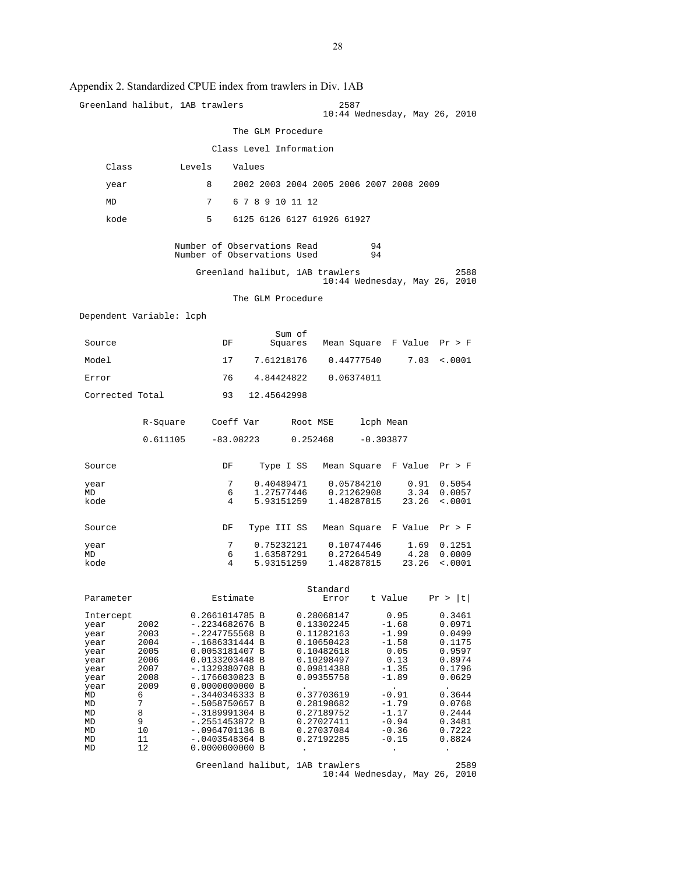|                                                                           |                                                              | Greenland halibut, 1AB trawlers                                                                                                                                    |                          | 2587<br>10:44 Wednesday, May 26, 2010                                                                        |                                                                                        |                                                                                               |
|---------------------------------------------------------------------------|--------------------------------------------------------------|--------------------------------------------------------------------------------------------------------------------------------------------------------------------|--------------------------|--------------------------------------------------------------------------------------------------------------|----------------------------------------------------------------------------------------|-----------------------------------------------------------------------------------------------|
|                                                                           |                                                              |                                                                                                                                                                    | The GLM Procedure        |                                                                                                              |                                                                                        |                                                                                               |
|                                                                           |                                                              |                                                                                                                                                                    | Class Level Information  |                                                                                                              |                                                                                        |                                                                                               |
| Class                                                                     |                                                              | Levels<br>Values                                                                                                                                                   |                          |                                                                                                              |                                                                                        |                                                                                               |
| year                                                                      |                                                              | 8                                                                                                                                                                  |                          | 2002 2003 2004 2005 2006 2007 2008 2009                                                                      |                                                                                        |                                                                                               |
| MD                                                                        |                                                              | 7                                                                                                                                                                  | 6 7 8 9 10 11 12         |                                                                                                              |                                                                                        |                                                                                               |
| kode                                                                      |                                                              | 5                                                                                                                                                                  |                          | 6125 6126 6127 61926 61927                                                                                   |                                                                                        |                                                                                               |
|                                                                           |                                                              | Number of Observations Read<br>Number of Observations Used                                                                                                         |                          | 94<br>94                                                                                                     |                                                                                        |                                                                                               |
|                                                                           |                                                              | Greenland halibut, 1AB trawlers                                                                                                                                    |                          | 10:44 Wednesday, May 26, 2010                                                                                |                                                                                        | 2588                                                                                          |
|                                                                           |                                                              |                                                                                                                                                                    | The GLM Procedure        |                                                                                                              |                                                                                        |                                                                                               |
| Dependent Variable: lcph                                                  |                                                              |                                                                                                                                                                    |                          |                                                                                                              |                                                                                        |                                                                                               |
| Source                                                                    |                                                              | DF                                                                                                                                                                 | Sum of                   | Squares Mean Square F Value Pr > F                                                                           |                                                                                        |                                                                                               |
| Model                                                                     |                                                              | 17                                                                                                                                                                 | 7.61218176               | 0.44777540                                                                                                   | 7.03                                                                                   | < .0001                                                                                       |
| Error                                                                     |                                                              | 76                                                                                                                                                                 |                          | 4.84424822 0.06374011                                                                                        |                                                                                        |                                                                                               |
| Corrected Total                                                           |                                                              | 93                                                                                                                                                                 | 12.45642998              |                                                                                                              |                                                                                        |                                                                                               |
|                                                                           |                                                              | R-Square Coeff Var                                                                                                                                                 |                          | Root MSE                                                                                                     | lcph Mean                                                                              |                                                                                               |
|                                                                           | 0.611105                                                     | -83.08223                                                                                                                                                          | 0.252468                 |                                                                                                              | $-0.303877$                                                                            |                                                                                               |
| Source                                                                    |                                                              | DF                                                                                                                                                                 | Type I SS                | Mean Square F Value Pr > F                                                                                   |                                                                                        |                                                                                               |
| year<br>MD                                                                |                                                              | 7<br>6                                                                                                                                                             | 0.40489471<br>1.27577446 | 0.05784210<br>0.21262908                                                                                     | 0.91                                                                                   | 0.5054<br>3.34 0.0057                                                                         |
| kode                                                                      |                                                              | 4                                                                                                                                                                  | 5.93151259               | 1.48287815                                                                                                   | 23.26                                                                                  | < .0001                                                                                       |
| Source                                                                    |                                                              | DF                                                                                                                                                                 | Type III SS              | Mean Square F Value Pr > F                                                                                   |                                                                                        |                                                                                               |
| year<br>MD                                                                |                                                              | 7<br>6                                                                                                                                                             | 0.75232121<br>1.63587291 | 0.10747446<br>0.27264549                                                                                     | 1.69<br>4.28                                                                           | 0.1251<br>0.0009                                                                              |
| kode                                                                      |                                                              | 4                                                                                                                                                                  | 5.93151259               | 1.48287815                                                                                                   | 23.26                                                                                  | $\sim 0001$                                                                                   |
| Parameter                                                                 |                                                              | Estimate                                                                                                                                                           |                          | Standard<br>Error                                                                                            | t Value                                                                                | Pr >  t                                                                                       |
| Intercept<br>year<br>year<br>year<br>year<br>year<br>year<br>year<br>year | 2002<br>2003<br>2004<br>2005<br>2006<br>2007<br>2008<br>2009 | 0.2661014785 B<br>-.2234682676 B<br>$-.2247755568 B$<br>–.1686331444 B<br>0.0053181407 B<br>0.0133203448 B<br>-.1329380708 B<br>$-.1766030823 B$<br>0.0000000000 B |                          | 0.28068147<br>0.13302245<br>0.11282163<br>0.10650423<br>0.10482618<br>0.10298497<br>0.09814388<br>0.09355758 | 0.95<br>$-1.68$<br>$-1.99$<br>$-1.58$<br>0.05<br>0.13<br>$-1.35$<br>-1.89<br>$\bullet$ | 0.3461<br>0.0971<br>0.0499<br>0.1175<br>0.9597<br>0.8974<br>0.1796<br>0.0629                  |
| MD<br>MD<br>MD<br>MD<br>MD<br>MD<br>MD                                    | 6<br>7<br>8<br>9<br>10<br>11<br>12                           | -.3440346333 B<br>$-.5058750657$ B<br>$-.3189991304 B$<br>-.2551453872 B<br>-.0964701136 B<br>-.0403548364 B<br>0.0000000000 B                                     | $\ddot{\phantom{0}}$     | 0.37703619<br>0.28198682<br>0.27189752<br>0.27027411<br>0.27037084<br>0.27192285                             | $-0.91$<br>-1.79<br>$-1.17$<br>$-0.94$<br>$-0.36$<br>$-0.15$<br>$\ddot{\phantom{0}}$   | $\bullet$<br>0.3644<br>0.0768<br>0.2444<br>0.3481<br>0.7222<br>0.8824<br>$\ddot{\phantom{0}}$ |
|                                                                           |                                                              | Greenland halibut, 1AB trawlers                                                                                                                                    |                          | 10:44 Wednesday, May 26, 2010                                                                                |                                                                                        | 2589                                                                                          |

#### Appendix 2. Standardized CPUE index from trawlers in Div. 1AB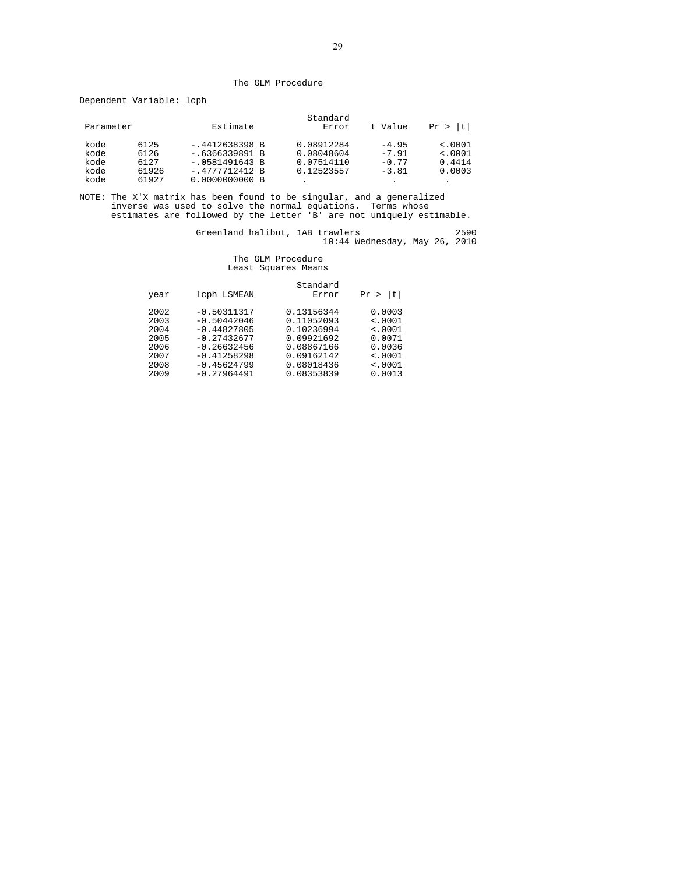#### The GLM Procedure

Dependent Variable: lcph

| Parameter |       | Estimate         | Standard<br>Error | t Value | ltı<br>Pr > |
|-----------|-------|------------------|-------------------|---------|-------------|
| kode      | 6125  | $-.4412638398 B$ | 0.08912284        | $-4.95$ | < .0001     |
| kode      | 6126  | $-.6366339891 B$ | 0.08048604        | $-7.91$ | < .0001     |
| kode      | 6127  | $-.0581491643 B$ | 0.07514110        | $-0.77$ | 0.4414      |
| kode      | 61926 | $-.4777712412 B$ | 0.12523557        | $-3.81$ | 0.0003      |
| kode      | 61927 | 0.0000000000B    | $\bullet$         |         | ٠           |

NOTE: The X'X matrix has been found to be singular, and a generalized inverse was used to solve the normal equations. Terms whose estimates are followed by the letter 'B' are not uniquely estimable.

Greenland halibut, 1AB trawlers 2590 10:44 Wednesday, May 26, 2010

### The GLM Procedure Least Squares Means

| year                                         | lcph LSMEAN                                                                                                         | Standard<br>Error                                                                              | l t<br>Pr                                                       |
|----------------------------------------------|---------------------------------------------------------------------------------------------------------------------|------------------------------------------------------------------------------------------------|-----------------------------------------------------------------|
| 2002<br>2003<br>2004<br>2005<br>2006<br>2007 | $-0.50311317$<br>$-0.50442046$<br>$-0.44827805$<br>$-0.27432677$<br>$-0.26632456$<br>$-0.41258298$<br>$-0.45624799$ | 0.13156344<br>0.11052093<br>0.10236994<br>0.09921692<br>0.08867166<br>0.09162142<br>0.08018436 | 0.0003<br>< .0001<br>$\leq 0001$<br>0.0071<br>0.0036<br>< .0001 |
| 2008<br>2009                                 | $-0.27964491$                                                                                                       | 0.08353839                                                                                     | $\leq 0001$<br>0.0013                                           |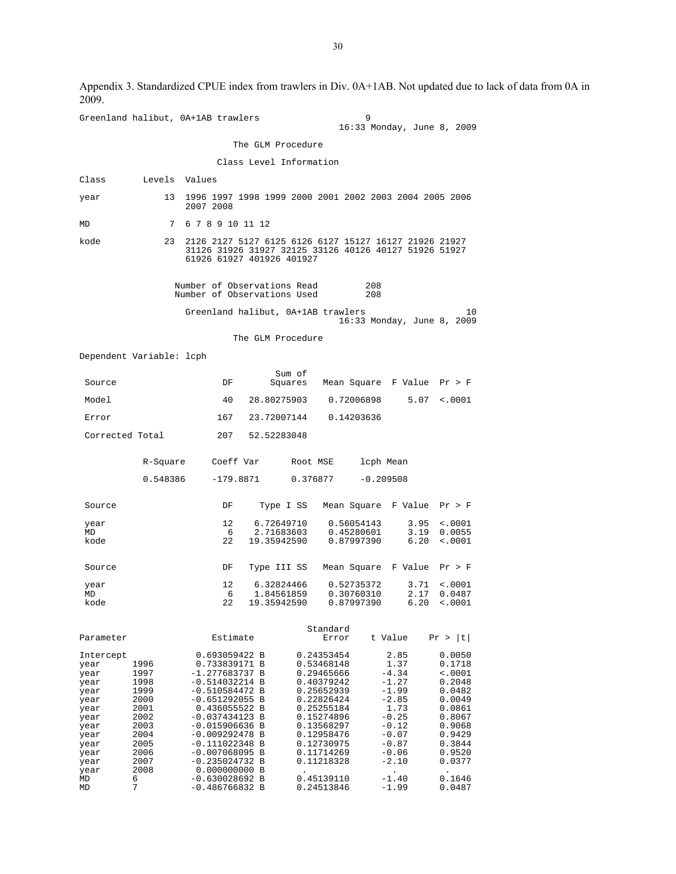Greenland halibut, 0A+1AB trawlers 9 16:33 Monday, June 8, 2009 The GLM Procedure Class Level Information Class Levels Values year 13 1996 1997 1998 1999 2000 2001 2002 2003 2004 2005 2006 2007 2008 MD 7 6 7 8 9 10 11 12 kode 23 2126 2127 5127 6125 6126 6127 15127 16127 21926 21927 31126 31926 31927 32125 33126 40126 40127 51926 51927 61926 61927 401926 401927 Number of Observations Read 208<br>Number of Observations Used 208 Number of Observations Used Greenland halibut, 0A+1AB trawlers 10 16:33 Monday, June 8, 2009 The GLM Procedure Dependent Variable: lcph Sum of Source DF Squares Mean Square F Value Pr > F Model 40 28.80275903 0.72006898 5.07 <.0001 Error 167 23.72007144 0.14203636 Corrected Total 207 52.52283048 R-Square Coeff Var Root MSE lcph Mean 0.548386 -179.8871 0.376877 -0.209508 Source DF Type I SS Mean Square F Value Pr > F year 12 6.72649710 0.56054143 3.95 <.0001<br>MD 6 2.71683603 0.45280601 3.19 0.0055 MD 6 2.71683603 0.45280601 3.19 0.0055 kode 22 19.35942590 0.87997390 6.20 <.0001 Source DF Type III SS Mean Square F Value Pr > F year 12 6.32824466 0.52735372 3.71 <.0001<br>MD 6 1.84561859 0.30760310 2.17 0.0487 سبب 1.84561859 0.30760310<br>22 19.35942590 0.87997390  $6.20 \div 0.001$  Standard Estimate Error t Value Pr > |t| Intercept 0.693059422 B 0.24353454 2.85 0.0050<br>year 1996 0.733839171 B 0.53468148 1.37 0.1718 year 1996 0.733839171 B 0.53468148 1.37 0.1718 year 1997 -1.277683737 B 0.29465666 -4.34 <.0001 -<br>| year 1998 -0.514032214 B 0.40379242 -1.27 0.20482<br>| year 1999 -0.510584472 B 0.25652939 -1.99 0.0482 1999 -0.510584472 B 0.25652939 -1.99 0.0482<br>2000 -0.651292055 B 0.22826424 -2.85 0.0049 year 2000 -0.651292055 B 0.22826424 -2.85 0.0049 year 2001 0.436055522 B 0.25255184 1.73 0.0861  $2002$   $-0.037434123$  B  $0.15274896$   $-0.25$  0.8067<br> $2003$   $-0.015906636$  B  $0.13568297$   $-0.12$  0.9068 year 2003 -0.015906636 B 0.13568297 -0.12 0.9068 year 2004 -0.009292478 B 0.12958476 -0.07 0.9429 year 2005 -0.111022348 B 0.12730975 -0.87 0.3844<br>year 2006 -0.007068095 B 0.11714269 -0.06 0.9520 year 2006 -0.007068095 B 0.11714269 -0.06 0.9520 year 2007 -0.235024732 B<br>year 2008 0.000000000 B<br>MD 6 -0.630028692 B  $y = \begin{bmatrix} 2008 & 0.000000000 & B \\ 0.630028692 & B & 0.45139110 & -1.40 \\ 0.630028692 & B & 0.45139110 & -1.40 \end{bmatrix}$ MD 6 -0.630028692 B 0.45139110 -1.40 0.1646<br>MD 7 -0.486766832 B 0.24513846 -1.99 0.0487  $-0.486766832 B$ 

Appendix 3. Standardized CPUE index from trawlers in Div. 0A+1AB. Not updated due to lack of data from 0A in 2009.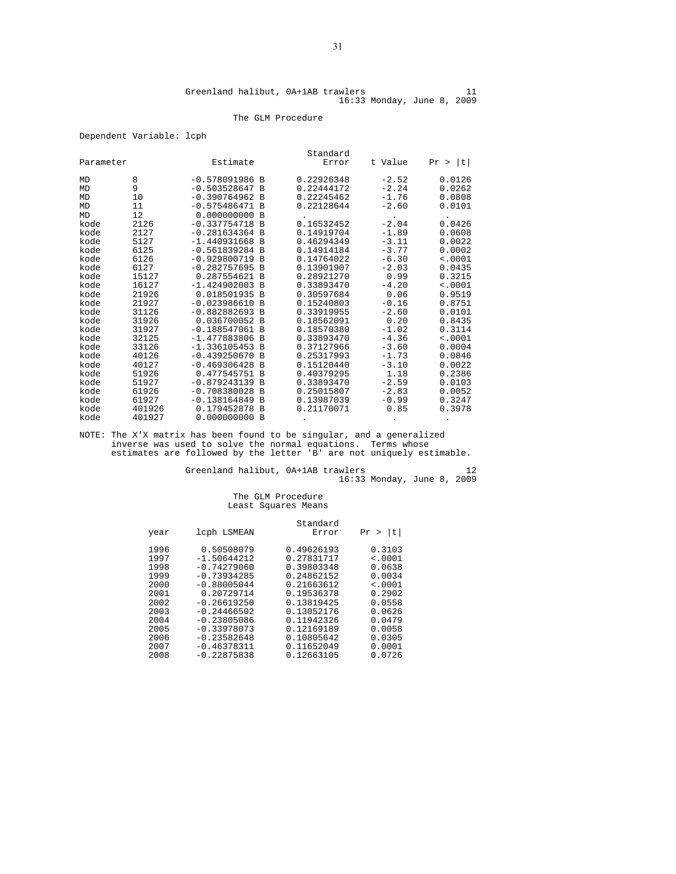#### The GLM Procedure

#### Dependent Variable: lcph

|           |        |                  |          | Standard   |         |         |
|-----------|--------|------------------|----------|------------|---------|---------|
| Parameter |        | Estimate         |          | Error      | t Value | Pr >  t |
| MD        | 8      | $-0.578091986$ B |          | 0.22926348 | $-2.52$ | 0.0126  |
| MD        | 9      | $-0.503528647 B$ |          | 0.22444172 | $-2.24$ | 0.0262  |
| MD        | 10     | $-0.390764962 B$ |          | 0.22245462 | $-1.76$ | 0.0808  |
| MD        | 11     | $-0.575486471 B$ |          | 0.22128644 | $-2.60$ | 0.0101  |
| MD        | 12     | $0.000000000$ B  |          |            |         |         |
| kode      | 2126   | $-0.337754718 B$ |          | 0.16532452 | $-2.04$ | 0.0426  |
| kode      | 2127   | $-0.281634364 B$ |          | 0.14919704 | $-1.89$ | 0.0608  |
| kode      | 5127   | $-1.440931668$ B |          | 0.46294349 | $-3.11$ | 0.0022  |
| kode      | 6125   | $-0.561839284 B$ |          | 0.14914184 | $-3.77$ | 0.0002  |
| kode      | 6126   | $-0.929800719$ B |          | 0.14764022 | $-6.30$ | < .0001 |
| kode      | 6127   | $-0.282757695 B$ |          | 0.13901907 | $-2.03$ | 0.0435  |
| kode      | 15127  | 0.287554621 B    |          | 0.28921270 | 0.99    | 0.3215  |
| kode      | 16127  | $-1.424902003$ B |          | 0.33893470 | $-4.20$ | < .0001 |
| kode      | 21926  | 0.018501935 B    |          | 0.30597684 | 0.06    | 0.9519  |
| kode      | 21927  | $-0.023986610 B$ |          | 0.15240803 | $-0.16$ | 0.8751  |
| kode      | 31126  | $-0.882882693 B$ |          | 0.33919955 | $-2.60$ | 0.0101  |
| kode      | 31926  | 0.036700052 B    |          | 0.18562091 | 0.20    | 0.8435  |
| kode      | 31927  | $-0.188547061$ B |          | 0.18570380 | $-1.02$ | 0.3114  |
| kode      | 32125  | $-1.477883806 B$ |          | 0.33893470 | $-4.36$ | < .0001 |
| kode      | 33126  | $-1.336105453$ B |          | 0.37127966 | $-3.60$ | 0.0004  |
| kode      | 40126  | $-0.439250670 B$ |          | 0.25317993 | $-1.73$ | 0.0846  |
| kode      | 40127  | $-0.469306428$   | <b>B</b> | 0.15120440 | $-3.10$ | 0.0022  |
| kode      | 51926  | 0.477545751      | <b>B</b> | 0.40379295 | 1.18    | 0.2386  |
| kode      | 51927  | $-0.879243139 B$ |          | 0.33893470 | $-2.59$ | 0.0103  |
| kode      | 61926  | $-0.708380028$   | <b>B</b> | 0.25015807 | $-2.83$ | 0.0052  |
| kode      | 61927  | $-0.138164849 B$ |          | 0.13987039 | $-0.99$ | 0.3247  |
| kode      | 401926 | 0.179452878      | <b>B</b> | 0.21170071 | 0.85    | 0.3978  |
| kode      | 401927 | 0.000000000      | <b>B</b> |            |         |         |

NOTE: The X'X matrix has been found to be singular, and a generalized inverse was used to solve the normal equations. Terms whose estimates are followed by the letter 'B' are not uniquely estimable.

Greenland halibut, 0A+1AB trawlers 12 16:33 Monday, June 8, 2009

## The GLM Procedure Least Squares Means

|               | Standard      |             |
|---------------|---------------|-------------|
| lcph LSMEAN   | Error         | t <br>Pr >  |
| 0.50508079    | 0.49626193    | 0.3103      |
|               |               | < .0001     |
| $-0.74279060$ | 0.39803348    | 0.0638      |
| $-0.73934285$ | 0.24862152    | 0.0034      |
| $-0.88005044$ | 0.21663612    | $\leq 0001$ |
| 0.20729714    | 0.19536378    | 0.2902      |
| $-0.26619250$ | 0.13819425    | 0.0558      |
| $-0.24466502$ | 0.13052176    | 0.0626      |
| $-0.23805086$ | 0.11942326    | 0.0479      |
| $-0.33978073$ | 0.12169189    | 0.0058      |
| $-0.23582648$ | 0.10805642    | 0.0305      |
| $-0.46378311$ | 0.11652049    | 0.0001      |
| $-0.22875838$ | 0.12663105    | 0.0726      |
|               | $-1.50644212$ | 0.27831717  |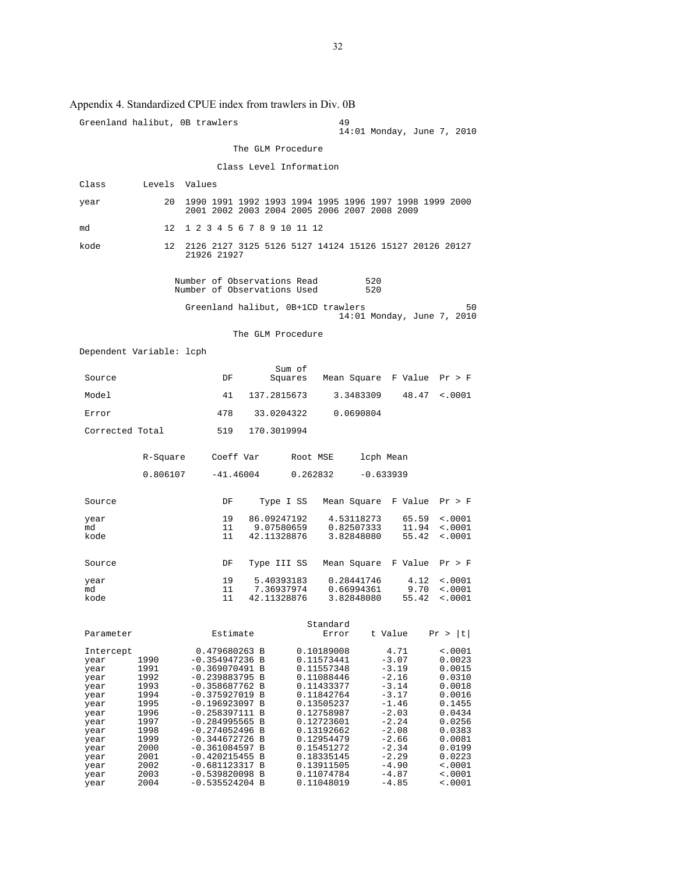|                                                                                                                                   |                                                                                                                      | Greenland halibut, OB trawlers                                                                                                                                                                                                                                                                                  |                                          | 49                                                                                                                                                                                                                           | 14:01 Monday, June 7, 2010                                                                                                                                              |                                                                                                                                                                              |
|-----------------------------------------------------------------------------------------------------------------------------------|----------------------------------------------------------------------------------------------------------------------|-----------------------------------------------------------------------------------------------------------------------------------------------------------------------------------------------------------------------------------------------------------------------------------------------------------------|------------------------------------------|------------------------------------------------------------------------------------------------------------------------------------------------------------------------------------------------------------------------------|-------------------------------------------------------------------------------------------------------------------------------------------------------------------------|------------------------------------------------------------------------------------------------------------------------------------------------------------------------------|
|                                                                                                                                   |                                                                                                                      |                                                                                                                                                                                                                                                                                                                 | The GLM Procedure                        |                                                                                                                                                                                                                              |                                                                                                                                                                         |                                                                                                                                                                              |
|                                                                                                                                   |                                                                                                                      |                                                                                                                                                                                                                                                                                                                 | Class Level Information                  |                                                                                                                                                                                                                              |                                                                                                                                                                         |                                                                                                                                                                              |
| Class                                                                                                                             | Levels                                                                                                               | Values                                                                                                                                                                                                                                                                                                          |                                          |                                                                                                                                                                                                                              |                                                                                                                                                                         |                                                                                                                                                                              |
| year                                                                                                                              | 20                                                                                                                   | 1990 1991 1992 1993 1994 1995 1996 1997 1998 1999 2000<br>2001 2002 2003 2004 2005 2006 2007 2008 2009                                                                                                                                                                                                          |                                          |                                                                                                                                                                                                                              |                                                                                                                                                                         |                                                                                                                                                                              |
| md                                                                                                                                | 12                                                                                                                   | 1 2 3 4 5 6 7 8 9 10 11 12                                                                                                                                                                                                                                                                                      |                                          |                                                                                                                                                                                                                              |                                                                                                                                                                         |                                                                                                                                                                              |
| kode                                                                                                                              | 12                                                                                                                   | 2126 2127 3125 5126 5127 14124 15126 15127 20126 20127<br>21926 21927                                                                                                                                                                                                                                           |                                          |                                                                                                                                                                                                                              |                                                                                                                                                                         |                                                                                                                                                                              |
|                                                                                                                                   |                                                                                                                      | Number of Observations Read<br>Number of Observations Used                                                                                                                                                                                                                                                      |                                          | 520<br>520                                                                                                                                                                                                                   |                                                                                                                                                                         |                                                                                                                                                                              |
|                                                                                                                                   |                                                                                                                      | Greenland halibut, 0B+1CD trawlers                                                                                                                                                                                                                                                                              |                                          |                                                                                                                                                                                                                              | 14:01 Monday, June 7, 2010                                                                                                                                              | 50                                                                                                                                                                           |
|                                                                                                                                   |                                                                                                                      |                                                                                                                                                                                                                                                                                                                 | The GLM Procedure                        |                                                                                                                                                                                                                              |                                                                                                                                                                         |                                                                                                                                                                              |
| Dependent Variable: lcph                                                                                                          |                                                                                                                      |                                                                                                                                                                                                                                                                                                                 |                                          |                                                                                                                                                                                                                              |                                                                                                                                                                         |                                                                                                                                                                              |
| Source                                                                                                                            |                                                                                                                      | DF                                                                                                                                                                                                                                                                                                              | Sum of<br>Squares                        | Mean Square F Value                                                                                                                                                                                                          |                                                                                                                                                                         | Pr > F                                                                                                                                                                       |
| Model                                                                                                                             |                                                                                                                      | 41                                                                                                                                                                                                                                                                                                              | 137.2815673                              | 3.3483309                                                                                                                                                                                                                    | 48.47                                                                                                                                                                   | < .0001                                                                                                                                                                      |
| Error                                                                                                                             |                                                                                                                      | 478                                                                                                                                                                                                                                                                                                             | 33.0204322                               | 0.0690804                                                                                                                                                                                                                    |                                                                                                                                                                         |                                                                                                                                                                              |
| Corrected Total                                                                                                                   |                                                                                                                      | 519                                                                                                                                                                                                                                                                                                             | 170.3019994                              |                                                                                                                                                                                                                              |                                                                                                                                                                         |                                                                                                                                                                              |
|                                                                                                                                   | R-Square                                                                                                             | Coeff Var                                                                                                                                                                                                                                                                                                       | Root MSE                                 | lcph Mean                                                                                                                                                                                                                    |                                                                                                                                                                         |                                                                                                                                                                              |
|                                                                                                                                   | 0.806107                                                                                                             | $-41.46004$                                                                                                                                                                                                                                                                                                     | 0.262832                                 | $-0.633939$                                                                                                                                                                                                                  |                                                                                                                                                                         |                                                                                                                                                                              |
| Source                                                                                                                            |                                                                                                                      | DF                                                                                                                                                                                                                                                                                                              | Type I SS                                | Mean Square F Value                                                                                                                                                                                                          |                                                                                                                                                                         | Pr > F                                                                                                                                                                       |
| year<br>md<br>kode                                                                                                                |                                                                                                                      | 19<br>11<br>11                                                                                                                                                                                                                                                                                                  | 86.09247192<br>9.07580659<br>42.11328876 | 4.53118273<br>0.82507333<br>3.82848080                                                                                                                                                                                       | 65.59<br>11.94<br>55.42                                                                                                                                                 | < .0001<br>$\sim 0001$<br>< .0001                                                                                                                                            |
| Source                                                                                                                            |                                                                                                                      | DF                                                                                                                                                                                                                                                                                                              | Type III SS                              | Mean Square F Value                                                                                                                                                                                                          |                                                                                                                                                                         | Pr > F                                                                                                                                                                       |
| year<br>md                                                                                                                        |                                                                                                                      | 19<br>11                                                                                                                                                                                                                                                                                                        | 5.40393183<br>7.36937974                 | 0.28441746<br>0.66994361                                                                                                                                                                                                     | 4.12<br>9.70                                                                                                                                                            | < .0001<br>< .0001                                                                                                                                                           |
| kode                                                                                                                              |                                                                                                                      | 11                                                                                                                                                                                                                                                                                                              | 42.11328876                              | 3.82848080                                                                                                                                                                                                                   | 55.42                                                                                                                                                                   | < .0001                                                                                                                                                                      |
| Parameter                                                                                                                         |                                                                                                                      | Estimate                                                                                                                                                                                                                                                                                                        |                                          | Standard<br>Error                                                                                                                                                                                                            | t Value                                                                                                                                                                 | Pr >  t                                                                                                                                                                      |
| Intercept<br>year<br>year<br>year<br>year<br>year<br>year<br>year<br>year<br>year<br>year<br>year<br>year<br>year<br>year<br>year | 1990<br>1991<br>1992<br>1993<br>1994<br>1995<br>1996<br>1997<br>1998<br>1999<br>2000<br>2001<br>2002<br>2003<br>2004 | 0.479680263 B<br>$-0.354947236$ B<br>$-0.369070491 B$<br>$-0.239883795 B$<br>-0.358687762 B<br>$-0.375927019$ B<br>$-0.196923097 B$<br>-0.258397111 B<br>$-0.284995565 B$<br>$-0.274052496$ B<br>-0.344672726 B<br>$-0.361084597 B$<br>$-0.420215455$ B<br>-0.681123317 B<br>$-0.539820098$ B<br>-0.535524204 B |                                          | 0.10189008<br>0.11573441<br>0.11557348<br>0.11088446<br>0.11433377<br>0.11842764<br>0.13505237<br>0.12758987<br>0.12723601<br>0.13192662<br>0.12954479<br>0.15451272<br>0.18335145<br>0.13911505<br>0.11074784<br>0.11048019 | 4.71<br>$-3.07$<br>-3.19<br>$-2.16$<br>$-3.14$<br>$-3.17$<br>$-1.46$<br>$-2.03$<br>$-2.24$<br>$-2.08$<br>$-2.66$<br>$-2.34$<br>$-2.29$<br>$-4.90$<br>$-4.87$<br>$-4.85$ | < .0001<br>0.0023<br>0.0015<br>0.0310<br>0.0018<br>0.0016<br>0.1455<br>0.0434<br>0.0256<br>0.0383<br>0.0081<br>0.0199<br>0.0223<br>$\sim 0001$<br>$\sim 0001$<br>$\sim 0001$ |

Appendix 4. Standardized CPUE index from trawlers in Div. 0B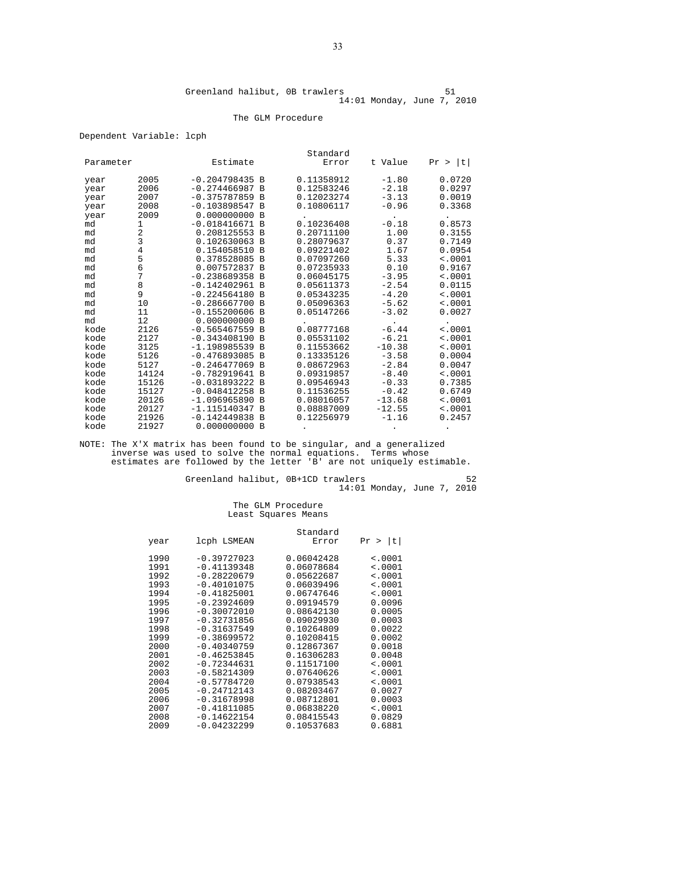#### The GLM Procedure

#### Dependent Variable: lcph

| Parameter |                | Estimate                           |                | Standard<br>Error        | t Value  | t       |
|-----------|----------------|------------------------------------|----------------|--------------------------|----------|---------|
|           |                |                                    |                |                          |          | Pr >    |
| year      | 2005           | $-0.204798435 B$                   |                | 0.11358912               | $-1.80$  | 0.0720  |
| year      | 2006           | $-0.274466987 B$                   |                | 0.12583246               | $-2.18$  | 0.0297  |
| year      | 2007           | $-0.375787859$ B                   |                | 0.12023274               | $-3.13$  | 0.0019  |
| year      | 2008           | $-0.103898547$                     | B              | 0.10806117               | $-0.96$  | 0.3368  |
| year      | 2009           | 0.000000000                        | B              |                          |          |         |
| md        | 1              | $-0.018416671 B$                   |                | 0.10236408               | $-0.18$  | 0.8573  |
| md        | 2              | 0.208125553                        | B              | 0.20711100               | 1.00     | 0.3155  |
| md        | 3              | 0.102630063                        | $\overline{B}$ | 0.28079637               | 0.37     | 0.7149  |
| md        | 4              | 0.154058510                        | $\overline{B}$ | 0.09221402               | 1.67     | 0.0954  |
| md        | 5              | 0.378528085                        | B              | 0.07097260               | 5.33     | < .0001 |
| md        | 6              | 0.007572837                        | $\overline{B}$ | 0.07235933               | 0.10     | 0.9167  |
| md        | 7              | $-0.238689358$                     | $\overline{B}$ | 0.06045175               | $-3.95$  | < .0001 |
| md        | 8              | $-0.142402961$                     | B              | 0.05611373               | $-2.54$  | 0.0115  |
| md        | 9              | $-0.224564180$                     | B              | 0.05343235               | $-4.20$  | < .0001 |
| md        | 10             | $-0.286667700$                     | $\overline{B}$ | 0.05096363               | $-5.62$  | < .0001 |
| md        | 11             | $-0.155200606$                     | B              | 0.05147266               | $-3.02$  | 0.0027  |
| md        | 12             | 0.000000000                        | B              |                          |          |         |
| kode      | 2126           | $-0.565467559$ B                   |                | 0.08777168               | $-6.44$  | < .0001 |
| kode      | 2127           | $-0.343408190$                     | B              | 0.05531102               | $-6.21$  | < .0001 |
| kode      | 3125           | $-1.198985539$                     | B              | 0.11553662               | $-10.38$ | < .0001 |
| kode      | 5126           | $-0.476893085$                     | $\overline{B}$ | 0.13335126               | $-3.58$  | 0.0004  |
| kode      | 5127           | $-0.246477069$                     | B              | 0.08672963               | $-2.84$  | 0.0047  |
| kode      | 14124          | $-0.782919641$                     | $\mathbf{B}$   | 0.09319857               | $-8.40$  | < .0001 |
| kode      | 15126          | $-0.031893222$                     | $\overline{B}$ | 0.09546943               | $-0.33$  | 0.7385  |
| kode      | 15127          | $-0.048412258$                     | B              | 0.11536255               | $-0.42$  | 0.6749  |
| kode      | 20126          | $-1.096965890$                     | B              | 0.08016057               | $-13.68$ | < .0001 |
| kode      | 20127<br>21926 | $-1.115140347 B$<br>$-0.142449838$ | B              | 0.08887009<br>0.12256979 | $-12.55$ | < .0001 |
| kode      |                | 0.000000000                        |                |                          | $-1.16$  | 0.2457  |
| kode      | 21927          |                                    | B              |                          |          |         |

NOTE: The X'X matrix has been found to be singular, and a generalized inverse was used to solve the normal equations. Terms whose estimates are followed by the letter 'B' are not uniquely estimable.

Greenland halibut, 0B+1CD trawlers 52 14:01 Monday, June 7, 2010

#### The GLM Procedure Least Squares Means

|      |               | Standard   |                    |
|------|---------------|------------|--------------------|
| year | lcph LSMEAN   | Error      | t <br>Pr<br>$\geq$ |
| 1990 | $-0.39727023$ | 0.06042428 | $\leq 0001$        |
| 1991 | $-0.41139348$ | 0.06078684 | < .0001            |
| 1992 | $-0.28220679$ | 0.05622687 | $\leq 0001$        |
| 1993 | $-0.40101075$ | 0.06039496 | < .0001            |
| 1994 | $-0.41825001$ | 0.06747646 | < .0001            |
| 1995 | $-0.23924609$ | 0.09194579 | 0.0096             |
| 1996 | $-0.30072010$ | 0.08642130 | 0.0005             |
| 1997 | $-0.32731856$ | 0.09029930 | 0.0003             |
| 1998 | $-0.31637549$ | 0.10264809 | 0.0022             |
| 1999 | $-0.38699572$ | 0.10208415 | 0.0002             |
| 2000 | $-0.40340759$ | 0.12867367 | 0.0018             |
| 2001 | $-0.46253845$ | 0.16306283 | 0.0048             |
| 2002 | $-0.72344631$ | 0.11517100 | $\leq 0001$        |
| 2003 | $-0.58214309$ | 0.07640626 | $\leq 0001$        |
| 2004 | $-0.57784720$ | 0.07938543 | < .0001            |
| 2005 | $-0.24712143$ | 0.08203467 | 0.0027             |
| 2006 | $-0.31678998$ | 0.08712801 | 0.0003             |
| 2007 | $-0.41811085$ | 0.06838220 | < .0001            |
| 2008 | $-0.14622154$ | 0.08415543 | 0.0829             |
| 2009 | $-0.04232299$ | 0.10537683 | 0.6881             |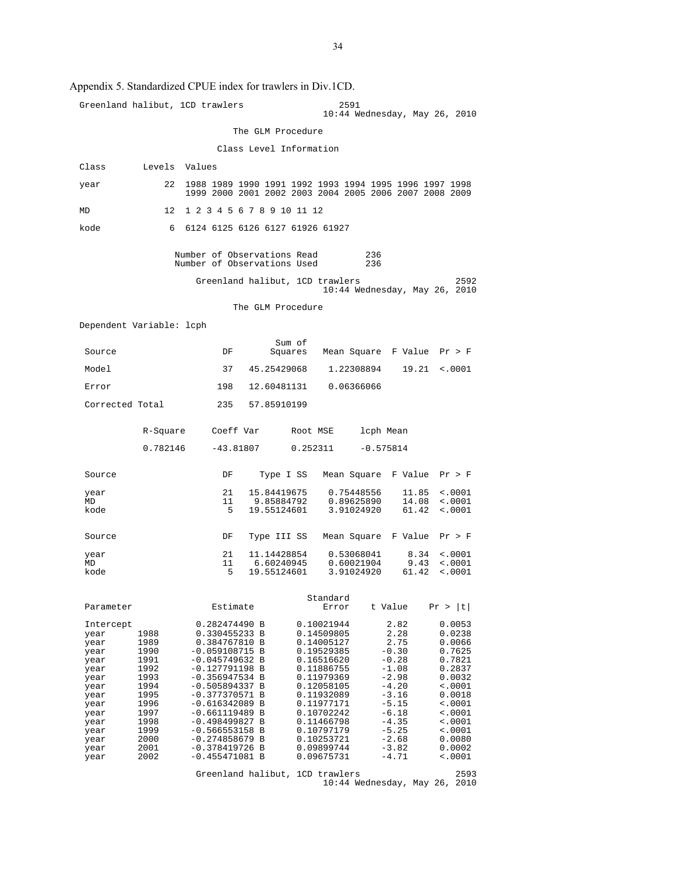### Appendix 5. Standardized CPUE index for trawlers in Div.1CD.

|                                                                                                                                   |                                                                                                                      | Greenland halibut, 1CD trawlers                                                                                                                                                                                                                                                                                                                        | 2591                                                                                                                                                                                                                         | 10:44 Wednesday, May 26, 2010                                                                                                                                       |                                                                                                                                                                                          |
|-----------------------------------------------------------------------------------------------------------------------------------|----------------------------------------------------------------------------------------------------------------------|--------------------------------------------------------------------------------------------------------------------------------------------------------------------------------------------------------------------------------------------------------------------------------------------------------------------------------------------------------|------------------------------------------------------------------------------------------------------------------------------------------------------------------------------------------------------------------------------|---------------------------------------------------------------------------------------------------------------------------------------------------------------------|------------------------------------------------------------------------------------------------------------------------------------------------------------------------------------------|
|                                                                                                                                   |                                                                                                                      | The GLM Procedure                                                                                                                                                                                                                                                                                                                                      |                                                                                                                                                                                                                              |                                                                                                                                                                     |                                                                                                                                                                                          |
|                                                                                                                                   |                                                                                                                      | Class Level Information                                                                                                                                                                                                                                                                                                                                |                                                                                                                                                                                                                              |                                                                                                                                                                     |                                                                                                                                                                                          |
| Class                                                                                                                             | Levels Values                                                                                                        |                                                                                                                                                                                                                                                                                                                                                        |                                                                                                                                                                                                                              |                                                                                                                                                                     |                                                                                                                                                                                          |
| year                                                                                                                              | 22                                                                                                                   | 1988 1989 1990 1991 1992 1993 1994 1995 1996 1997 1998<br>1999 2000 2001 2002 2003 2004 2005 2006 2007 2008 2009                                                                                                                                                                                                                                       |                                                                                                                                                                                                                              |                                                                                                                                                                     |                                                                                                                                                                                          |
| MD                                                                                                                                | 12 <sup>°</sup>                                                                                                      | 1 2 3 4 5 6 7 8 9 10 11 12                                                                                                                                                                                                                                                                                                                             |                                                                                                                                                                                                                              |                                                                                                                                                                     |                                                                                                                                                                                          |
| kode                                                                                                                              | 6                                                                                                                    | 6124 6125 6126 6127 61926 61927                                                                                                                                                                                                                                                                                                                        |                                                                                                                                                                                                                              |                                                                                                                                                                     |                                                                                                                                                                                          |
|                                                                                                                                   |                                                                                                                      | Number of Observations Read<br>Number of Observations Used                                                                                                                                                                                                                                                                                             |                                                                                                                                                                                                                              | 236<br>236                                                                                                                                                          |                                                                                                                                                                                          |
|                                                                                                                                   |                                                                                                                      | Greenland halibut, 1CD trawlers                                                                                                                                                                                                                                                                                                                        |                                                                                                                                                                                                                              | 10:44 Wednesday, May 26, 2010                                                                                                                                       | 2592                                                                                                                                                                                     |
|                                                                                                                                   |                                                                                                                      | The GLM Procedure                                                                                                                                                                                                                                                                                                                                      |                                                                                                                                                                                                                              |                                                                                                                                                                     |                                                                                                                                                                                          |
| Dependent Variable: lcph                                                                                                          |                                                                                                                      |                                                                                                                                                                                                                                                                                                                                                        |                                                                                                                                                                                                                              |                                                                                                                                                                     |                                                                                                                                                                                          |
| Source                                                                                                                            |                                                                                                                      | DF                                                                                                                                                                                                                                                                                                                                                     | Sum of<br>Squares                                                                                                                                                                                                            | Mean Square F Value Pr > F                                                                                                                                          |                                                                                                                                                                                          |
| Model                                                                                                                             |                                                                                                                      | 37                                                                                                                                                                                                                                                                                                                                                     | 45.25429068                                                                                                                                                                                                                  | 1.22308894<br>19.21                                                                                                                                                 | < .0001                                                                                                                                                                                  |
| Error                                                                                                                             |                                                                                                                      | 198                                                                                                                                                                                                                                                                                                                                                    | 12.60481131                                                                                                                                                                                                                  | 0.06366066                                                                                                                                                          |                                                                                                                                                                                          |
| Corrected Total                                                                                                                   |                                                                                                                      | 235<br>57.85910199                                                                                                                                                                                                                                                                                                                                     |                                                                                                                                                                                                                              |                                                                                                                                                                     |                                                                                                                                                                                          |
|                                                                                                                                   | R-Square                                                                                                             | Coeff Var                                                                                                                                                                                                                                                                                                                                              | Root MSE                                                                                                                                                                                                                     | lcph Mean                                                                                                                                                           |                                                                                                                                                                                          |
|                                                                                                                                   | 0.782146                                                                                                             | $-43.81807$                                                                                                                                                                                                                                                                                                                                            | 0.252311                                                                                                                                                                                                                     | $-0.575814$                                                                                                                                                         |                                                                                                                                                                                          |
| Source                                                                                                                            |                                                                                                                      | DF                                                                                                                                                                                                                                                                                                                                                     | Type I SS                                                                                                                                                                                                                    | Mean Square F Value Pr > F                                                                                                                                          |                                                                                                                                                                                          |
| year<br>MD                                                                                                                        |                                                                                                                      | 21<br>15.84419675<br>11<br>9.85884792                                                                                                                                                                                                                                                                                                                  |                                                                                                                                                                                                                              | 0.75448556<br>11.85<br>14.08<br>0.89625890                                                                                                                          | < .0001<br>< .0001                                                                                                                                                                       |
| kode                                                                                                                              |                                                                                                                      | 19.55124601<br>5                                                                                                                                                                                                                                                                                                                                       |                                                                                                                                                                                                                              | 61.42<br>3.91024920                                                                                                                                                 | < .0001                                                                                                                                                                                  |
| Source                                                                                                                            |                                                                                                                      | DF<br>Type III SS                                                                                                                                                                                                                                                                                                                                      |                                                                                                                                                                                                                              | Mean Square F Value Pr > F                                                                                                                                          |                                                                                                                                                                                          |
| year<br>MD                                                                                                                        |                                                                                                                      | 21<br>11<br>6.60240945                                                                                                                                                                                                                                                                                                                                 | 11.14428854                                                                                                                                                                                                                  | 0.53068041<br>8.34<br>9.43<br>0.60021904                                                                                                                            | < .0001<br>< .0001                                                                                                                                                                       |
| kode                                                                                                                              |                                                                                                                      | 19.55124601<br>5                                                                                                                                                                                                                                                                                                                                       |                                                                                                                                                                                                                              | 61.42<br>3.91024920                                                                                                                                                 | < .0001                                                                                                                                                                                  |
| Parameter                                                                                                                         |                                                                                                                      | Estimate                                                                                                                                                                                                                                                                                                                                               | Standard<br>Error                                                                                                                                                                                                            | t Value                                                                                                                                                             | Pr >  t                                                                                                                                                                                  |
| Intercept<br>year<br>year<br>year<br>year<br>year<br>year<br>year<br>year<br>year<br>year<br>year<br>year<br>year<br>year<br>year | 1988<br>1989<br>1990<br>1991<br>1992<br>1993<br>1994<br>1995<br>1996<br>1997<br>1998<br>1999<br>2000<br>2001<br>2002 | 0.282474490 B<br>0.330455233 B<br>0.384767810 B<br>$-0.059108715 B$<br>$-0.045749632 B$<br>$-0.127791198$ B<br>$-0.356947534 B$<br>$-0.505894337 B$<br>$-0.377370571 B$<br>$-0.616342089$ B<br>$-0.661119489 B$<br>$-0.498499827 B$<br>$-0.566553158$ B<br>$-0.274858679 B$<br>$-0.378419726 B$<br>$-0.455471081$ B<br>Greenland halibut, 1CD trawlers | 0.10021944<br>0.14509805<br>0.14005127<br>0.19529385<br>0.16516620<br>0.11886755<br>0.11979369<br>0.12058105<br>0.11932089<br>0.11977171<br>0.10702242<br>0.11466798<br>0.10797179<br>0.10253721<br>0.09899744<br>0.09675731 | 2.82<br>2.28<br>2.75<br>$-0.30$<br>$-0.28$<br>$-1.08$<br>$-2.98$<br>$-4.20$<br>$-3.16$<br>$-5.15$<br>$-6.18$<br>$-4.35$<br>$-5.25$<br>$-2.68$<br>$-3.82$<br>$-4.71$ | 0.0053<br>0.0238<br>0.0066<br>0.7625<br>0.7821<br>0.2837<br>0.0032<br><.0001<br>0.0018<br>$\sim 0001$<br>$\sim 0001$<br>$\sim 0001$<br>$\sim 0001$<br>0.0080<br>0.0002<br><.0001<br>2593 |
|                                                                                                                                   |                                                                                                                      |                                                                                                                                                                                                                                                                                                                                                        |                                                                                                                                                                                                                              | 10:44 Wednesday, May 26,                                                                                                                                            | 2010                                                                                                                                                                                     |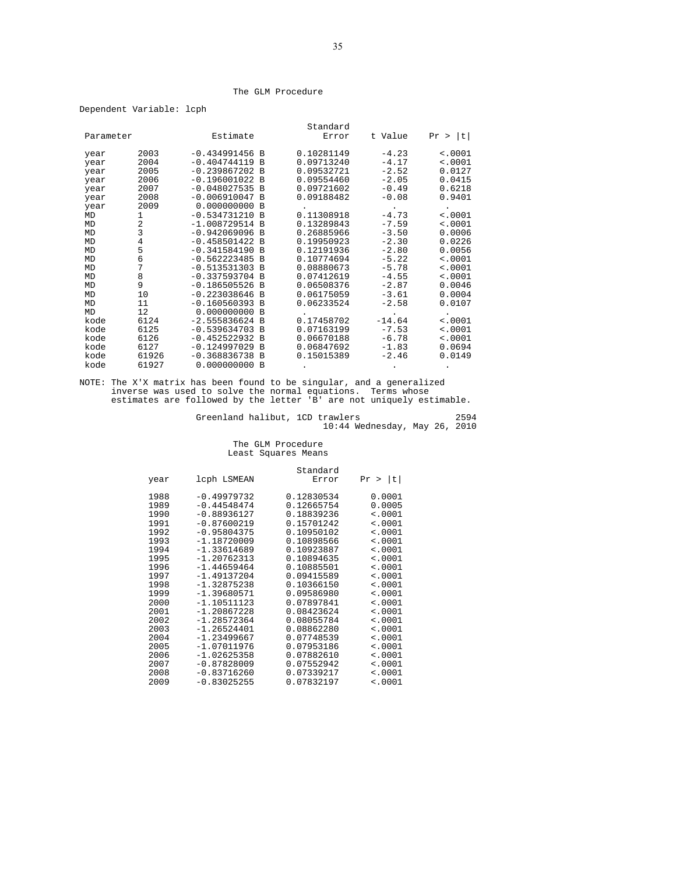#### The GLM Procedure

Dependent Variable: lcph

|           |       |                  |                | Standard   |          |             |
|-----------|-------|------------------|----------------|------------|----------|-------------|
| Parameter |       | Estimate         |                | Error      | t Value  | t <br>Pr >  |
|           |       |                  |                |            |          |             |
| year      | 2003  | $-0.434991456 B$ |                | 0.10281149 | $-4.23$  | < .0001     |
| year      | 2004  | $-0.404744119 B$ |                | 0.09713240 | $-4.17$  | < .0001     |
| year      | 2005  | $-0.239867202 B$ |                | 0.09532721 | $-2.52$  | 0.0127      |
| year      | 2006  | $-0.196001022 B$ |                | 0.09554460 | $-2.05$  | 0.0415      |
| year      | 2007  | $-0.048027535 B$ |                | 0.09721602 | $-0.49$  | 0.6218      |
| year      | 2008  | $-0.006910047$ B |                | 0.09188482 | $-0.08$  | 0.9401      |
| year      | 2009  | 0.000000000      | B              |            |          |             |
| MD        | 1     | $-0.534731210 B$ |                | 0.11308918 | $-4.73$  | < .0001     |
| MD        | 2     | $-1.008729514 B$ |                | 0.13289843 | $-7.59$  | < .0001     |
| MD        | 3     | $-0.942069096$   | B              | 0.26885966 | $-3.50$  | 0.0006      |
| MD        | 4     | $-0.458501422 B$ |                | 0.19950923 | $-2.30$  | 0.0226      |
| <b>MD</b> | 5     | $-0.341584190$   | B              | 0.12191936 | $-2.80$  | 0.0056      |
| MD        | 6     | $-0.562223485$   | B              | 0.10774694 | $-5.22$  | < .0001     |
| MD        | 7     | $-0.513531303$ B |                | 0.08880673 | $-5.78$  | < .0001     |
| MD        | 8     | $-0.337593704 B$ |                | 0.07412619 | $-4.55$  | < .0001     |
| MD        | 9     | $-0.186505526$   | <b>B</b>       | 0.06508376 | $-2.87$  | 0.0046      |
| MD        | 10    | $-0.223038646$   | $\overline{B}$ | 0.06175059 | $-3.61$  | 0.0004      |
| MD        | 11    | $-0.160560393 B$ |                | 0.06233524 | $-2.58$  | 0.0107      |
| MD        | 12    | 0.000000000      | <b>B</b>       |            |          |             |
| kode      | 6124  | $-2.555836624 B$ |                | 0.17458702 | $-14.64$ | $\leq 0001$ |
| kode      | 6125  | $-0.539634703$   | B              | 0.07163199 | $-7.53$  | < .0001     |
| kode      | 6126  | $-0.452522932$   | B              | 0.06670188 | $-6.78$  | < .0001     |
| kode      | 6127  | $-0.124997029$ B |                | 0.06847692 | $-1.83$  | 0.0694      |
| kode      | 61926 | $-0.368836738$   | B              | 0.15015389 | $-2.46$  | 0.0149      |
| kode      | 61927 | 0.000000000      | B              |            |          |             |

NOTE: The X'X matrix has been found to be singular, and a generalized inverse was used to solve the normal equations. Terms whose estimates are followed by the letter 'B' are not uniquely estimable.

Greenland halibut, 1CD trawlers 2594 10:44 Wednesday, May 26, 2010

### The GLM Procedure Least Squares Means

| year | lcph LSMEAN   | Standard<br>Error | Pr >  t     |
|------|---------------|-------------------|-------------|
| 1988 | $-0.49979732$ | 0.12830534        | 0.0001      |
| 1989 | $-0.44548474$ | 0.12665754        | 0.0005      |
| 1990 | $-0.88936127$ | 0.18839236        | $\sim 0001$ |
| 1991 | $-0.87600219$ | 0.15701242        | < .0001     |
| 1992 | $-0.95804375$ | 0.10950102        | < .0001     |
| 1993 | $-1.18720009$ | 0.10898566        | < .0001     |
| 1994 | $-1.33614689$ | 0.10923887        | $\sim 0001$ |
| 1995 | $-1.20762313$ | 0.10894635        | < .0001     |
| 1996 | $-1.44659464$ | 0.10885501        | < .0001     |
| 1997 | $-1.49137204$ | 0.09415589        | < .0001     |
| 1998 | $-1.32875238$ | 0.10366150        | < .0001     |
| 1999 | $-1.39680571$ | 0.09586980        | < .0001     |
| 2000 | $-1.10511123$ | 0.07897841        | < .0001     |
| 2001 | $-1.20867228$ | 0.08423624        | < .0001     |
| 2002 | $-1.28572364$ | 0.08055784        | < .0001     |
| 2003 | $-1.26524401$ | 0.08862280        | < .0001     |
| 2004 | $-1.23499667$ | 0.07748539        | < .0001     |
| 2005 | $-1.07011976$ | 0.07953186        | < .0001     |
| 2006 | $-1.02625358$ | 0.07882610        | < .0001     |
| 2007 | $-0.87828009$ | 0.07552942        | < .0001     |
| 2008 | $-0.83716260$ | 0.07339217        | < .0001     |
| 2009 | $-0.83025255$ | 0.07832197        | < .0001     |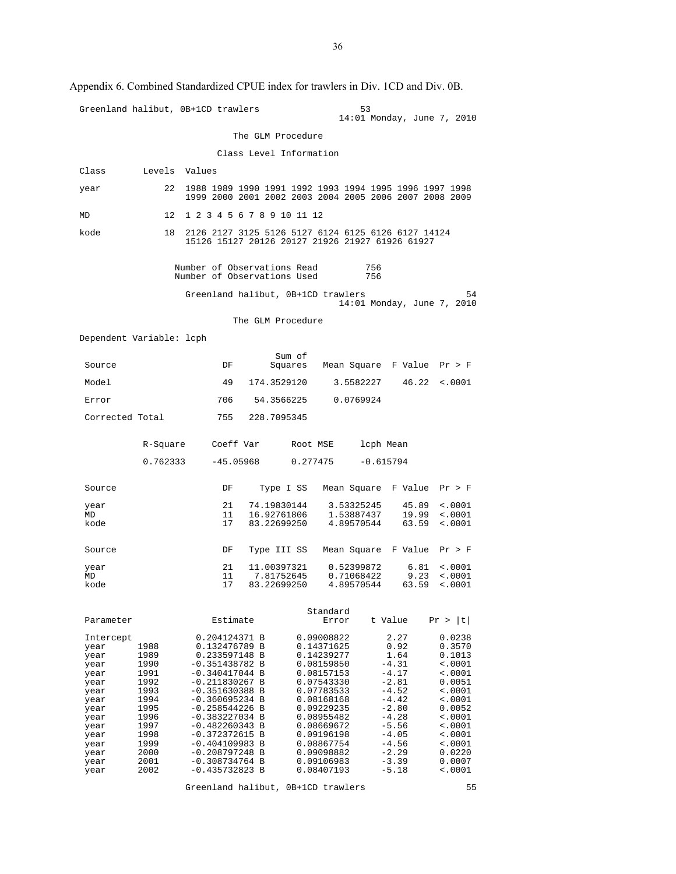|                          |               | ppendix 6. Combined Standardized CPUE index for trawlers in Div. TCD and Div. 0B.                                |                 |                            |                          |             |                                      |                            |
|--------------------------|---------------|------------------------------------------------------------------------------------------------------------------|-----------------|----------------------------|--------------------------|-------------|--------------------------------------|----------------------------|
|                          |               | Greenland halibut, 0B+1CD trawlers                                                                               |                 |                            |                          | 53          | 14:01 Monday, June 7, 2010           |                            |
|                          |               |                                                                                                                  |                 | The GLM Procedure          |                          |             |                                      |                            |
|                          |               |                                                                                                                  |                 | Class Level Information    |                          |             |                                      |                            |
| Class                    | Levels Values |                                                                                                                  |                 |                            |                          |             |                                      |                            |
| year                     | 22            | 1988 1989 1990 1991 1992 1993 1994 1995 1996 1997 1998<br>1999 2000 2001 2002 2003 2004 2005 2006 2007 2008 2009 |                 |                            |                          |             |                                      |                            |
| MD                       | 12            | 1 2 3 4 5 6 7 8 9 10 11 12                                                                                       |                 |                            |                          |             |                                      |                            |
| kode                     | 18            | 2126 2127 3125 5126 5127 6124 6125 6126 6127 14124<br>15126 15127 20126 20127 21926 21927 61926 61927            |                 |                            |                          |             |                                      |                            |
|                          |               | Number of Observations Read<br>Number of Observations Used                                                       |                 |                            |                          | 756<br>756  |                                      |                            |
|                          |               | Greenland halibut, 0B+1CD trawlers                                                                               |                 |                            |                          |             | 14:01 Monday, June 7, 2010           | 54                         |
|                          |               |                                                                                                                  |                 | The GLM Procedure          |                          |             |                                      |                            |
| Dependent Variable: lcph |               |                                                                                                                  |                 |                            |                          |             |                                      |                            |
| Source                   |               | DF                                                                                                               |                 | Sum of<br>Squares          |                          |             | Mean Square F Value Pr > F           |                            |
| Model                    |               | 49                                                                                                               |                 | 174.3529120                |                          | 3.5582227   | 46.22                                | < .0001                    |
| Error                    |               | 706                                                                                                              |                 | 54.3566225                 | 0.0769924                |             |                                      |                            |
| Corrected Total          |               |                                                                                                                  | 755 228.7095345 |                            |                          |             |                                      |                            |
|                          | R-Square      | Coeff Var                                                                                                        |                 | Root MSE                   |                          | lcph Mean   |                                      |                            |
|                          | 0.762333      | $-45.05968$                                                                                                      |                 | 0.277475                   |                          | $-0.615794$ |                                      |                            |
| Source                   |               | DF                                                                                                               |                 |                            |                          |             | Type I SS Mean Square F Value Pr > F |                            |
| year<br>MD               |               | 21<br>11                                                                                                         |                 | 74.19830144<br>16.92761806 | 3.53325245<br>1.53887437 |             | 45.89<br>19.99                       | $\sim 0001$<br>$\sim 0001$ |
| kode                     |               | 17                                                                                                               |                 | 83.22699250                | 4.89570544               |             | 63.59                                | < .0001                    |
| Source                   |               | DF                                                                                                               |                 | Type III SS                |                          |             | Mean Square F Value                  | Pr > F                     |
| year<br>MD               |               | 21<br>11                                                                                                         | 11.00397321     | 7.81752645                 | 0.52399872<br>0.71068422 |             | 6.81<br>9.23                         | < .0001<br>$\sim 0001$     |
| kode                     |               | 17                                                                                                               | 83.22699250     |                            | 4.89570544               |             | 63.59                                | $\ddotsc 0001$             |
|                          |               |                                                                                                                  |                 |                            | Standard                 |             |                                      |                            |
| Parameter                |               | Estimate                                                                                                         |                 |                            | Error                    |             | t Value                              | Pr >  t                    |
| Intercept                | 1988          | 0.204124371 B<br>0.132476789 B                                                                                   |                 |                            | 0.09008822<br>0.14371625 |             | 2.27<br>0.92                         | 0.0238<br>0.3570           |
| year<br>year             | 1989          | 0.233597148 B                                                                                                    |                 |                            | 0.14239277               |             | 1.64                                 | 0.1013                     |
| year                     | 1990          | $-0.351438782 B$                                                                                                 |                 |                            | 0.08159850               |             | $-4.31$                              | $\sim 0001$                |
| year<br>year             | 1991<br>1992  | $-0.340417044$ B<br>$-0.211830267$ B                                                                             |                 |                            | 0.08157153<br>0.07543330 |             | $-4.17$<br>$-2.81$                   | $\sim 0001$<br>0.0051      |
| year                     | 1993          | $-0.351630388$ B                                                                                                 |                 |                            | 0.07783533               |             | $-4.52$                              | $\sim 0001$                |
| year                     | 1994          | $-0.360695234 B$                                                                                                 |                 |                            | 0.08168168               |             | $-4.42$                              | $\sim 0001$                |
| year                     | 1995          | $-0.258544226$ B                                                                                                 |                 |                            | 0.09229235               |             | $-2.80$                              | 0.0052                     |
| year<br>year             | 1996<br>1997  | $-0.383227034$ B<br>$-0.482260343 B$                                                                             |                 |                            | 0.08955482<br>0.08669672 |             | $-4.28$<br>$-5.56$                   | $\sim 0001$<br>$\sim 0001$ |
| year                     | 1998          | $-0.372372615 B$                                                                                                 |                 |                            | 0.09196198               |             | $-4.05$                              | $\sim 0001$                |
| year                     | 1999          | $-0.404109983$ B                                                                                                 |                 |                            | 0.08867754               |             | $-4.56$                              | < .0001                    |
| year                     | 2000          | $-0.208797248$ B                                                                                                 |                 |                            | 0.09098882               |             | $-2.29$                              | 0.0220                     |
| year<br>year             | 2001<br>2002  | $-0.308734764$ B<br>$-0.435732823 B$                                                                             |                 |                            | 0.09106983<br>0.08407193 |             | $-3.39$<br>$-5.18$                   | 0.0007<br>$\sim 0001$      |

Appendix 6. Combined Standardized CPUE index for trawlers in Div. 1CD and Div. 0B.

Greenland halibut, 0B+1CD trawlers 55